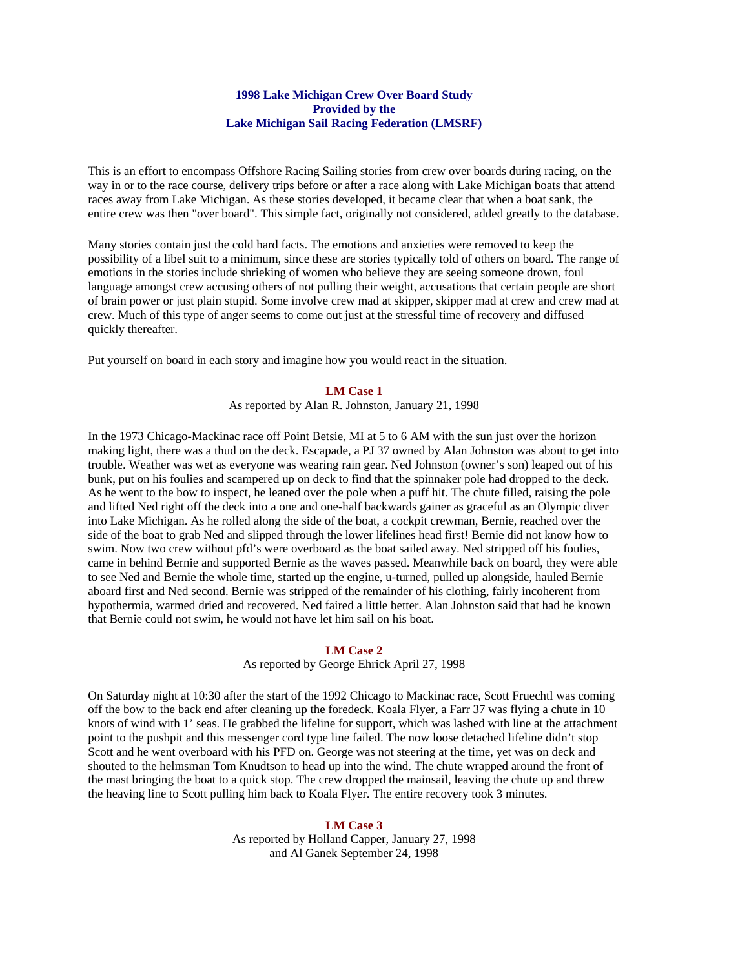# **1998 Lake Michigan Crew Over Board Study Provided by the Lake Michigan Sail Racing Federation (LMSRF)**

This is an effort to encompass Offshore Racing Sailing stories from crew over boards during racing, on the way in or to the race course, delivery trips before or after a race along with Lake Michigan boats that attend races away from Lake Michigan. As these stories developed, it became clear that when a boat sank, the entire crew was then "over board". This simple fact, originally not considered, added greatly to the database.

Many stories contain just the cold hard facts. The emotions and anxieties were removed to keep the possibility of a libel suit to a minimum, since these are stories typically told of others on board. The range of emotions in the stories include shrieking of women who believe they are seeing someone drown, foul language amongst crew accusing others of not pulling their weight, accusations that certain people are short of brain power or just plain stupid. Some involve crew mad at skipper, skipper mad at crew and crew mad at crew. Much of this type of anger seems to come out just at the stressful time of recovery and diffused quickly thereafter.

Put yourself on board in each story and imagine how you would react in the situation.

# **LM Case 1**

As reported by Alan R. Johnston, January 21, 1998

In the 1973 Chicago-Mackinac race off Point Betsie, MI at 5 to 6 AM with the sun just over the horizon making light, there was a thud on the deck. Escapade, a PJ 37 owned by Alan Johnston was about to get into trouble. Weather was wet as everyone was wearing rain gear. Ned Johnston (owner's son) leaped out of his bunk, put on his foulies and scampered up on deck to find that the spinnaker pole had dropped to the deck. As he went to the bow to inspect, he leaned over the pole when a puff hit. The chute filled, raising the pole and lifted Ned right off the deck into a one and one-half backwards gainer as graceful as an Olympic diver into Lake Michigan. As he rolled along the side of the boat, a cockpit crewman, Bernie, reached over the side of the boat to grab Ned and slipped through the lower lifelines head first! Bernie did not know how to swim. Now two crew without pfd's were overboard as the boat sailed away. Ned stripped off his foulies, came in behind Bernie and supported Bernie as the waves passed. Meanwhile back on board, they were able to see Ned and Bernie the whole time, started up the engine, u-turned, pulled up alongside, hauled Bernie aboard first and Ned second. Bernie was stripped of the remainder of his clothing, fairly incoherent from hypothermia, warmed dried and recovered. Ned faired a little better. Alan Johnston said that had he known that Bernie could not swim, he would not have let him sail on his boat.

#### **LM Case 2**

As reported by George Ehrick April 27, 1998

On Saturday night at 10:30 after the start of the 1992 Chicago to Mackinac race, Scott Fruechtl was coming off the bow to the back end after cleaning up the foredeck. Koala Flyer, a Farr 37 was flying a chute in 10 knots of wind with 1' seas. He grabbed the lifeline for support, which was lashed with line at the attachment point to the pushpit and this messenger cord type line failed. The now loose detached lifeline didn't stop Scott and he went overboard with his PFD on. George was not steering at the time, yet was on deck and shouted to the helmsman Tom Knudtson to head up into the wind. The chute wrapped around the front of the mast bringing the boat to a quick stop. The crew dropped the mainsail, leaving the chute up and threw the heaving line to Scott pulling him back to Koala Flyer. The entire recovery took 3 minutes.

#### **LM Case 3**

As reported by Holland Capper, January 27, 1998 and Al Ganek September 24, 1998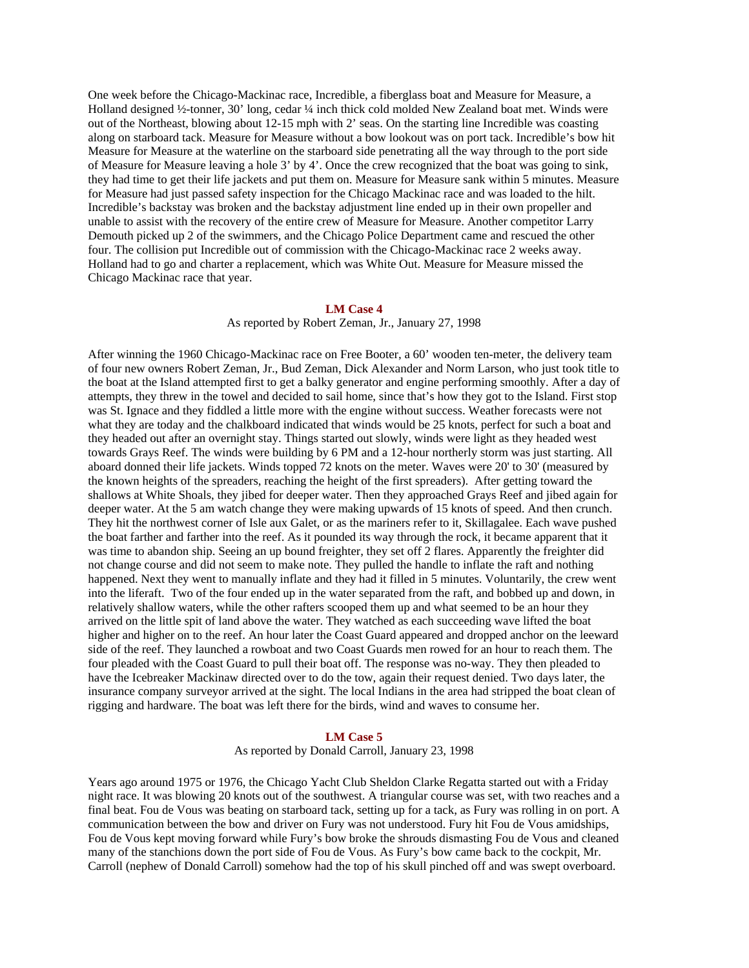One week before the Chicago-Mackinac race, Incredible, a fiberglass boat and Measure for Measure, a Holland designed ½-tonner, 30' long, cedar ¼ inch thick cold molded New Zealand boat met. Winds were out of the Northeast, blowing about 12-15 mph with 2' seas. On the starting line Incredible was coasting along on starboard tack. Measure for Measure without a bow lookout was on port tack. Incredible's bow hit Measure for Measure at the waterline on the starboard side penetrating all the way through to the port side of Measure for Measure leaving a hole 3' by 4'. Once the crew recognized that the boat was going to sink, they had time to get their life jackets and put them on. Measure for Measure sank within 5 minutes. Measure for Measure had just passed safety inspection for the Chicago Mackinac race and was loaded to the hilt. Incredible's backstay was broken and the backstay adjustment line ended up in their own propeller and unable to assist with the recovery of the entire crew of Measure for Measure. Another competitor Larry Demouth picked up 2 of the swimmers, and the Chicago Police Department came and rescued the other four. The collision put Incredible out of commission with the Chicago-Mackinac race 2 weeks away. Holland had to go and charter a replacement, which was White Out. Measure for Measure missed the Chicago Mackinac race that year.

#### **LM Case 4**

As reported by Robert Zeman, Jr., January 27, 1998

After winning the 1960 Chicago-Mackinac race on Free Booter, a 60' wooden ten-meter, the delivery team of four new owners Robert Zeman, Jr., Bud Zeman, Dick Alexander and Norm Larson, who just took title to the boat at the Island attempted first to get a balky generator and engine performing smoothly. After a day of attempts, they threw in the towel and decided to sail home, since that's how they got to the Island. First stop was St. Ignace and they fiddled a little more with the engine without success. Weather forecasts were not what they are today and the chalkboard indicated that winds would be 25 knots, perfect for such a boat and they headed out after an overnight stay. Things started out slowly, winds were light as they headed west towards Grays Reef. The winds were building by 6 PM and a 12-hour northerly storm was just starting. All aboard donned their life jackets. Winds topped 72 knots on the meter. Waves were 20' to 30' (measured by the known heights of the spreaders, reaching the height of the first spreaders). After getting toward the shallows at White Shoals, they jibed for deeper water. Then they approached Grays Reef and jibed again for deeper water. At the 5 am watch change they were making upwards of 15 knots of speed. And then crunch. They hit the northwest corner of Isle aux Galet, or as the mariners refer to it, Skillagalee. Each wave pushed the boat farther and farther into the reef. As it pounded its way through the rock, it became apparent that it was time to abandon ship. Seeing an up bound freighter, they set off 2 flares. Apparently the freighter did not change course and did not seem to make note. They pulled the handle to inflate the raft and nothing happened. Next they went to manually inflate and they had it filled in 5 minutes. Voluntarily, the crew went into the liferaft. Two of the four ended up in the water separated from the raft, and bobbed up and down, in relatively shallow waters, while the other rafters scooped them up and what seemed to be an hour they arrived on the little spit of land above the water. They watched as each succeeding wave lifted the boat higher and higher on to the reef. An hour later the Coast Guard appeared and dropped anchor on the leeward side of the reef. They launched a rowboat and two Coast Guards men rowed for an hour to reach them. The four pleaded with the Coast Guard to pull their boat off. The response was no-way. They then pleaded to have the Icebreaker Mackinaw directed over to do the tow, again their request denied. Two days later, the insurance company surveyor arrived at the sight. The local Indians in the area had stripped the boat clean of rigging and hardware. The boat was left there for the birds, wind and waves to consume her.

#### **LM Case 5**

As reported by Donald Carroll, January 23, 1998

Years ago around 1975 or 1976, the Chicago Yacht Club Sheldon Clarke Regatta started out with a Friday night race. It was blowing 20 knots out of the southwest. A triangular course was set, with two reaches and a final beat. Fou de Vous was beating on starboard tack, setting up for a tack, as Fury was rolling in on port. A communication between the bow and driver on Fury was not understood. Fury hit Fou de Vous amidships, Fou de Vous kept moving forward while Fury's bow broke the shrouds dismasting Fou de Vous and cleaned many of the stanchions down the port side of Fou de Vous. As Fury's bow came back to the cockpit, Mr. Carroll (nephew of Donald Carroll) somehow had the top of his skull pinched off and was swept overboard.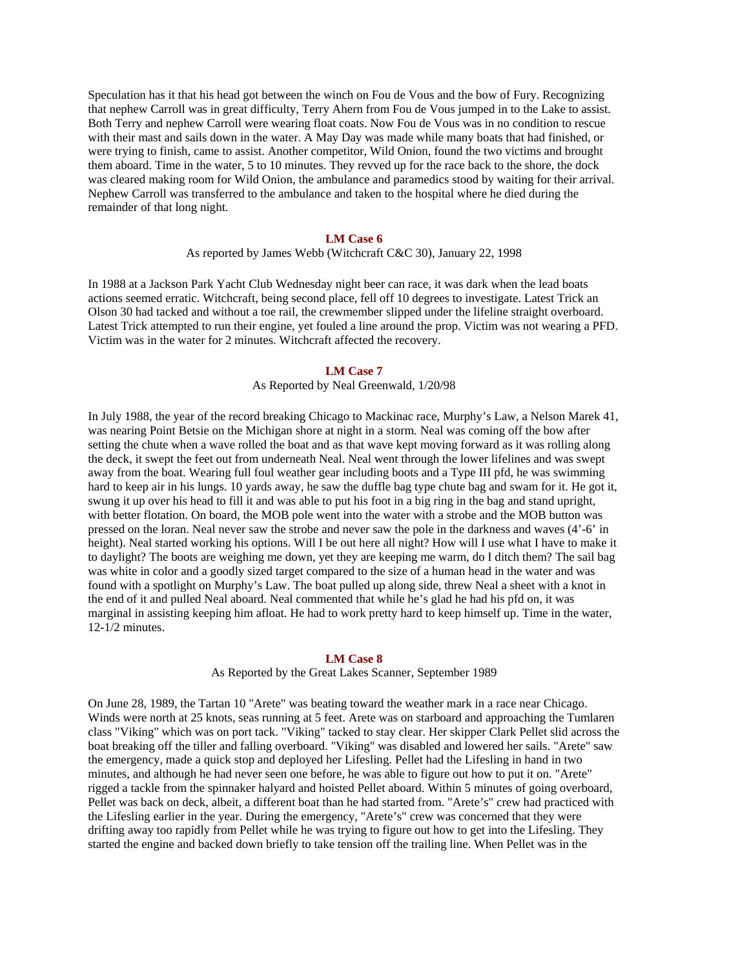Speculation has it that his head got between the winch on Fou de Vous and the bow of Fury. Recognizing that nephew Carroll was in great difficulty, Terry Ahern from Fou de Vous jumped in to the Lake to assist. Both Terry and nephew Carroll were wearing float coats. Now Fou de Vous was in no condition to rescue with their mast and sails down in the water. A May Day was made while many boats that had finished, or were trying to finish, came to assist. Another competitor, Wild Onion, found the two victims and brought them aboard. Time in the water, 5 to 10 minutes. They revved up for the race back to the shore, the dock was cleared making room for Wild Onion, the ambulance and paramedics stood by waiting for their arrival. Nephew Carroll was transferred to the ambulance and taken to the hospital where he died during the remainder of that long night.

### **LM Case 6**

# As reported by James Webb (Witchcraft C&C 30), January 22, 1998

In 1988 at a Jackson Park Yacht Club Wednesday night beer can race, it was dark when the lead boats actions seemed erratic. Witchcraft, being second place, fell off 10 degrees to investigate. Latest Trick an Olson 30 had tacked and without a toe rail, the crewmember slipped under the lifeline straight overboard. Latest Trick attempted to run their engine, yet fouled a line around the prop. Victim was not wearing a PFD. Victim was in the water for 2 minutes. Witchcraft affected the recovery.

#### **LM Case 7**

### As Reported by Neal Greenwald, 1/20/98

In July 1988, the year of the record breaking Chicago to Mackinac race, Murphy's Law, a Nelson Marek 41, was nearing Point Betsie on the Michigan shore at night in a storm. Neal was coming off the bow after setting the chute when a wave rolled the boat and as that wave kept moving forward as it was rolling along the deck, it swept the feet out from underneath Neal. Neal went through the lower lifelines and was swept away from the boat. Wearing full foul weather gear including boots and a Type III pfd, he was swimming hard to keep air in his lungs. 10 yards away, he saw the duffle bag type chute bag and swam for it. He got it, swung it up over his head to fill it and was able to put his foot in a big ring in the bag and stand upright, with better flotation. On board, the MOB pole went into the water with a strobe and the MOB button was pressed on the loran. Neal never saw the strobe and never saw the pole in the darkness and waves (4'-6' in height). Neal started working his options. Will I be out here all night? How will I use what I have to make it to daylight? The boots are weighing me down, yet they are keeping me warm, do I ditch them? The sail bag was white in color and a goodly sized target compared to the size of a human head in the water and was found with a spotlight on Murphy's Law. The boat pulled up along side, threw Neal a sheet with a knot in the end of it and pulled Neal aboard. Neal commented that while he's glad he had his pfd on, it was marginal in assisting keeping him afloat. He had to work pretty hard to keep himself up. Time in the water, 12-1/2 minutes.

### **LM Case 8**

As Reported by the Great Lakes Scanner, September 1989

On June 28, 1989, the Tartan 10 "Arete" was beating toward the weather mark in a race near Chicago. Winds were north at 25 knots, seas running at 5 feet. Arete was on starboard and approaching the Tumlaren class "Viking" which was on port tack. "Viking" tacked to stay clear. Her skipper Clark Pellet slid across the boat breaking off the tiller and falling overboard. "Viking" was disabled and lowered her sails. "Arete" saw the emergency, made a quick stop and deployed her Lifesling. Pellet had the Lifesling in hand in two minutes, and although he had never seen one before, he was able to figure out how to put it on. "Arete" rigged a tackle from the spinnaker halyard and hoisted Pellet aboard. Within 5 minutes of going overboard, Pellet was back on deck, albeit, a different boat than he had started from. "Arete's" crew had practiced with the Lifesling earlier in the year. During the emergency, "Arete's" crew was concerned that they were drifting away too rapidly from Pellet while he was trying to figure out how to get into the Lifesling. They started the engine and backed down briefly to take tension off the trailing line. When Pellet was in the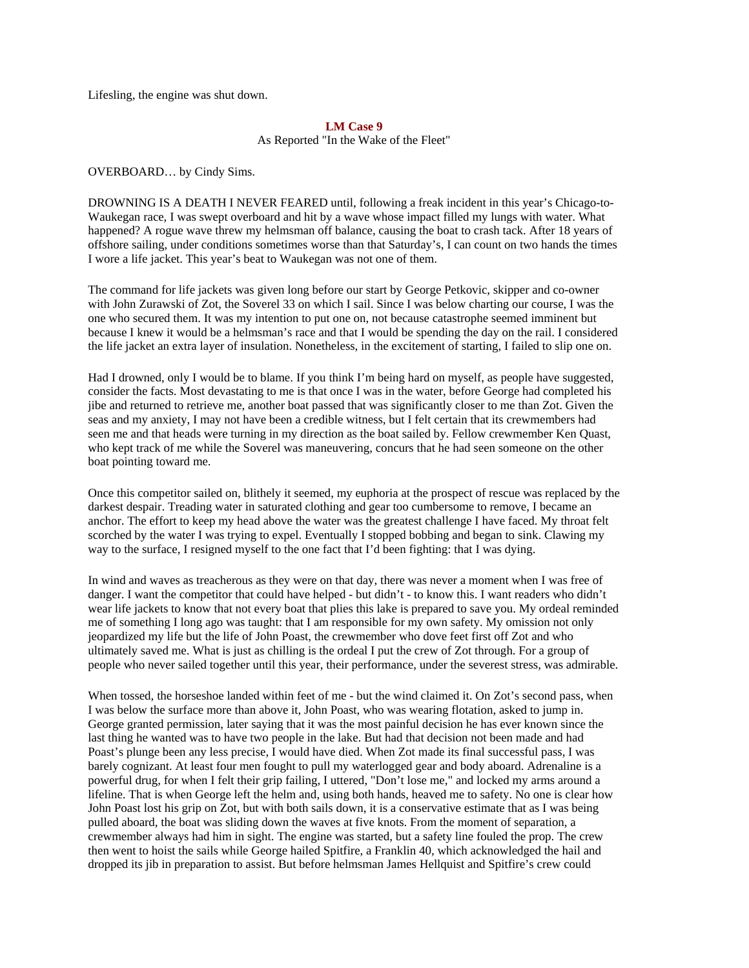Lifesling, the engine was shut down.

### **LM Case 9**

As Reported "In the Wake of the Fleet"

OVERBOARD… by Cindy Sims.

DROWNING IS A DEATH I NEVER FEARED until, following a freak incident in this year's Chicago-to-Waukegan race, I was swept overboard and hit by a wave whose impact filled my lungs with water. What happened? A rogue wave threw my helmsman off balance, causing the boat to crash tack. After 18 years of offshore sailing, under conditions sometimes worse than that Saturday's, I can count on two hands the times I wore a life jacket. This year's beat to Waukegan was not one of them.

The command for life jackets was given long before our start by George Petkovic, skipper and co-owner with John Zurawski of Zot, the Soverel 33 on which I sail. Since I was below charting our course, I was the one who secured them. It was my intention to put one on, not because catastrophe seemed imminent but because I knew it would be a helmsman's race and that I would be spending the day on the rail. I considered the life jacket an extra layer of insulation. Nonetheless, in the excitement of starting, I failed to slip one on.

Had I drowned, only I would be to blame. If you think I'm being hard on myself, as people have suggested, consider the facts. Most devastating to me is that once I was in the water, before George had completed his jibe and returned to retrieve me, another boat passed that was significantly closer to me than Zot. Given the seas and my anxiety, I may not have been a credible witness, but I felt certain that its crewmembers had seen me and that heads were turning in my direction as the boat sailed by. Fellow crewmember Ken Quast, who kept track of me while the Soverel was maneuvering, concurs that he had seen someone on the other boat pointing toward me.

Once this competitor sailed on, blithely it seemed, my euphoria at the prospect of rescue was replaced by the darkest despair. Treading water in saturated clothing and gear too cumbersome to remove, I became an anchor. The effort to keep my head above the water was the greatest challenge I have faced. My throat felt scorched by the water I was trying to expel. Eventually I stopped bobbing and began to sink. Clawing my way to the surface, I resigned myself to the one fact that I'd been fighting: that I was dying.

In wind and waves as treacherous as they were on that day, there was never a moment when I was free of danger. I want the competitor that could have helped - but didn't - to know this. I want readers who didn't wear life jackets to know that not every boat that plies this lake is prepared to save you. My ordeal reminded me of something I long ago was taught: that I am responsible for my own safety. My omission not only jeopardized my life but the life of John Poast, the crewmember who dove feet first off Zot and who ultimately saved me. What is just as chilling is the ordeal I put the crew of Zot through. For a group of people who never sailed together until this year, their performance, under the severest stress, was admirable.

When tossed, the horseshoe landed within feet of me - but the wind claimed it. On Zot's second pass, when I was below the surface more than above it, John Poast, who was wearing flotation, asked to jump in. George granted permission, later saying that it was the most painful decision he has ever known since the last thing he wanted was to have two people in the lake. But had that decision not been made and had Poast's plunge been any less precise, I would have died. When Zot made its final successful pass, I was barely cognizant. At least four men fought to pull my waterlogged gear and body aboard. Adrenaline is a powerful drug, for when I felt their grip failing, I uttered, "Don't lose me," and locked my arms around a lifeline. That is when George left the helm and, using both hands, heaved me to safety. No one is clear how John Poast lost his grip on Zot, but with both sails down, it is a conservative estimate that as I was being pulled aboard, the boat was sliding down the waves at five knots. From the moment of separation, a crewmember always had him in sight. The engine was started, but a safety line fouled the prop. The crew then went to hoist the sails while George hailed Spitfire, a Franklin 40, which acknowledged the hail and dropped its jib in preparation to assist. But before helmsman James Hellquist and Spitfire's crew could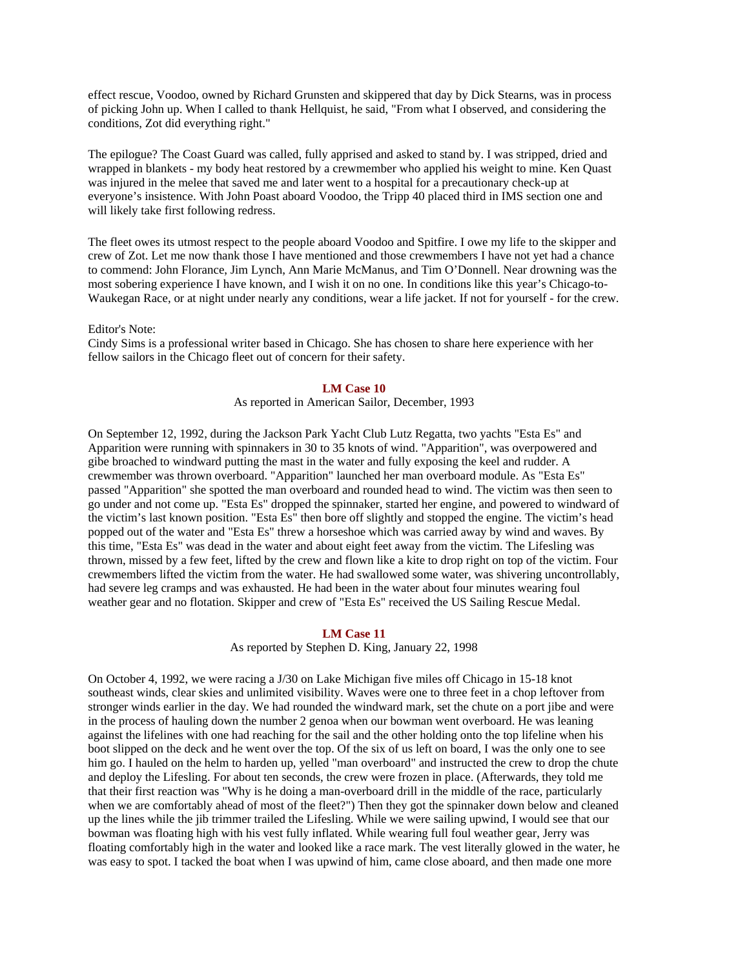effect rescue, Voodoo, owned by Richard Grunsten and skippered that day by Dick Stearns, was in process of picking John up. When I called to thank Hellquist, he said, "From what I observed, and considering the conditions, Zot did everything right."

The epilogue? The Coast Guard was called, fully apprised and asked to stand by. I was stripped, dried and wrapped in blankets - my body heat restored by a crewmember who applied his weight to mine. Ken Quast was injured in the melee that saved me and later went to a hospital for a precautionary check-up at everyone's insistence. With John Poast aboard Voodoo, the Tripp 40 placed third in IMS section one and will likely take first following redress.

The fleet owes its utmost respect to the people aboard Voodoo and Spitfire. I owe my life to the skipper and crew of Zot. Let me now thank those I have mentioned and those crewmembers I have not yet had a chance to commend: John Florance, Jim Lynch, Ann Marie McManus, and Tim O'Donnell. Near drowning was the most sobering experience I have known, and I wish it on no one. In conditions like this year's Chicago-to-Waukegan Race, or at night under nearly any conditions, wear a life jacket. If not for yourself - for the crew.

Editor's Note:

Cindy Sims is a professional writer based in Chicago. She has chosen to share here experience with her fellow sailors in the Chicago fleet out of concern for their safety.

#### **LM Case 10**

# As reported in American Sailor, December, 1993

On September 12, 1992, during the Jackson Park Yacht Club Lutz Regatta, two yachts "Esta Es" and Apparition were running with spinnakers in 30 to 35 knots of wind. "Apparition", was overpowered and gibe broached to windward putting the mast in the water and fully exposing the keel and rudder. A crewmember was thrown overboard. "Apparition" launched her man overboard module. As "Esta Es" passed "Apparition" she spotted the man overboard and rounded head to wind. The victim was then seen to go under and not come up. "Esta Es" dropped the spinnaker, started her engine, and powered to windward of the victim's last known position. "Esta Es" then bore off slightly and stopped the engine. The victim's head popped out of the water and "Esta Es" threw a horseshoe which was carried away by wind and waves. By this time, "Esta Es" was dead in the water and about eight feet away from the victim. The Lifesling was thrown, missed by a few feet, lifted by the crew and flown like a kite to drop right on top of the victim. Four crewmembers lifted the victim from the water. He had swallowed some water, was shivering uncontrollably, had severe leg cramps and was exhausted. He had been in the water about four minutes wearing foul weather gear and no flotation. Skipper and crew of "Esta Es" received the US Sailing Rescue Medal.

### **LM Case 11**

As reported by Stephen D. King, January 22, 1998

On October 4, 1992, we were racing a J/30 on Lake Michigan five miles off Chicago in 15-18 knot southeast winds, clear skies and unlimited visibility. Waves were one to three feet in a chop leftover from stronger winds earlier in the day. We had rounded the windward mark, set the chute on a port jibe and were in the process of hauling down the number 2 genoa when our bowman went overboard. He was leaning against the lifelines with one had reaching for the sail and the other holding onto the top lifeline when his boot slipped on the deck and he went over the top. Of the six of us left on board, I was the only one to see him go. I hauled on the helm to harden up, yelled "man overboard" and instructed the crew to drop the chute and deploy the Lifesling. For about ten seconds, the crew were frozen in place. (Afterwards, they told me that their first reaction was "Why is he doing a man-overboard drill in the middle of the race, particularly when we are comfortably ahead of most of the fleet?") Then they got the spinnaker down below and cleaned up the lines while the jib trimmer trailed the Lifesling. While we were sailing upwind, I would see that our bowman was floating high with his vest fully inflated. While wearing full foul weather gear, Jerry was floating comfortably high in the water and looked like a race mark. The vest literally glowed in the water, he was easy to spot. I tacked the boat when I was upwind of him, came close aboard, and then made one more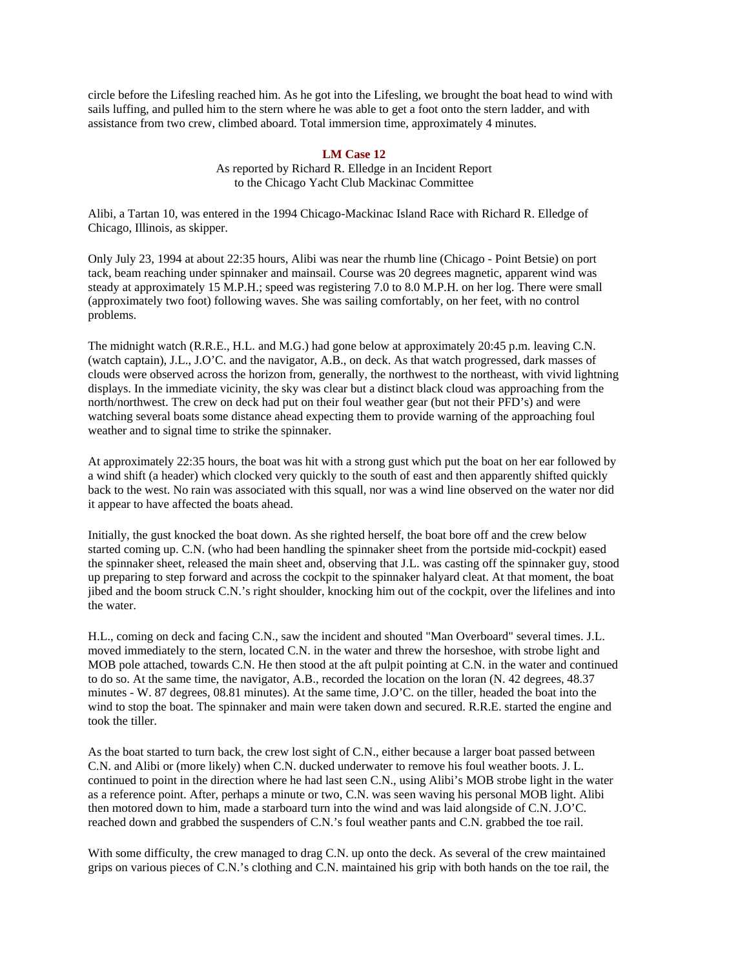circle before the Lifesling reached him. As he got into the Lifesling, we brought the boat head to wind with sails luffing, and pulled him to the stern where he was able to get a foot onto the stern ladder, and with assistance from two crew, climbed aboard. Total immersion time, approximately 4 minutes.

# **LM Case 12**

As reported by Richard R. Elledge in an Incident Report to the Chicago Yacht Club Mackinac Committee

Alibi, a Tartan 10, was entered in the 1994 Chicago-Mackinac Island Race with Richard R. Elledge of Chicago, Illinois, as skipper.

Only July 23, 1994 at about 22:35 hours, Alibi was near the rhumb line (Chicago - Point Betsie) on port tack, beam reaching under spinnaker and mainsail. Course was 20 degrees magnetic, apparent wind was steady at approximately 15 M.P.H.; speed was registering 7.0 to 8.0 M.P.H. on her log. There were small (approximately two foot) following waves. She was sailing comfortably, on her feet, with no control problems.

The midnight watch (R.R.E., H.L. and M.G.) had gone below at approximately 20:45 p.m. leaving C.N. (watch captain), J.L., J.O'C. and the navigator, A.B., on deck. As that watch progressed, dark masses of clouds were observed across the horizon from, generally, the northwest to the northeast, with vivid lightning displays. In the immediate vicinity, the sky was clear but a distinct black cloud was approaching from the north/northwest. The crew on deck had put on their foul weather gear (but not their PFD's) and were watching several boats some distance ahead expecting them to provide warning of the approaching foul weather and to signal time to strike the spinnaker.

At approximately 22:35 hours, the boat was hit with a strong gust which put the boat on her ear followed by a wind shift (a header) which clocked very quickly to the south of east and then apparently shifted quickly back to the west. No rain was associated with this squall, nor was a wind line observed on the water nor did it appear to have affected the boats ahead.

Initially, the gust knocked the boat down. As she righted herself, the boat bore off and the crew below started coming up. C.N. (who had been handling the spinnaker sheet from the portside mid-cockpit) eased the spinnaker sheet, released the main sheet and, observing that J.L. was casting off the spinnaker guy, stood up preparing to step forward and across the cockpit to the spinnaker halyard cleat. At that moment, the boat jibed and the boom struck C.N.'s right shoulder, knocking him out of the cockpit, over the lifelines and into the water.

H.L., coming on deck and facing C.N., saw the incident and shouted "Man Overboard" several times. J.L. moved immediately to the stern, located C.N. in the water and threw the horseshoe, with strobe light and MOB pole attached, towards C.N. He then stood at the aft pulpit pointing at C.N. in the water and continued to do so. At the same time, the navigator, A.B., recorded the location on the loran (N. 42 degrees, 48.37 minutes - W. 87 degrees, 08.81 minutes). At the same time, J.O'C. on the tiller, headed the boat into the wind to stop the boat. The spinnaker and main were taken down and secured. R.R.E. started the engine and took the tiller.

As the boat started to turn back, the crew lost sight of C.N., either because a larger boat passed between C.N. and Alibi or (more likely) when C.N. ducked underwater to remove his foul weather boots. J. L. continued to point in the direction where he had last seen C.N., using Alibi's MOB strobe light in the water as a reference point. After, perhaps a minute or two, C.N. was seen waving his personal MOB light. Alibi then motored down to him, made a starboard turn into the wind and was laid alongside of C.N. J.O'C. reached down and grabbed the suspenders of C.N.'s foul weather pants and C.N. grabbed the toe rail.

With some difficulty, the crew managed to drag C.N. up onto the deck. As several of the crew maintained grips on various pieces of C.N.'s clothing and C.N. maintained his grip with both hands on the toe rail, the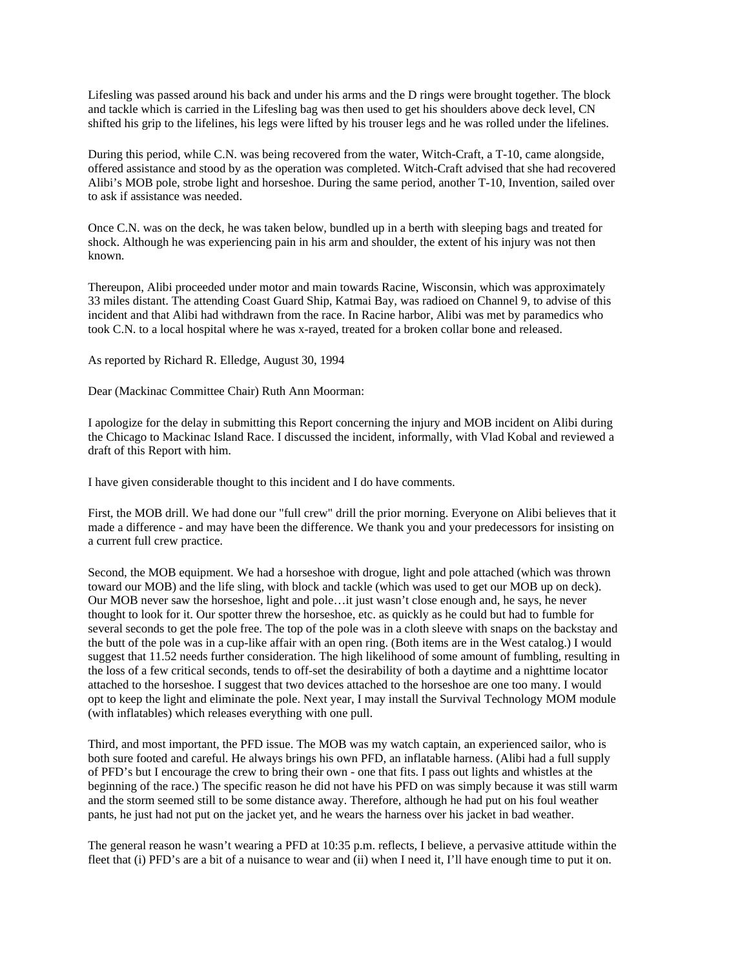Lifesling was passed around his back and under his arms and the D rings were brought together. The block and tackle which is carried in the Lifesling bag was then used to get his shoulders above deck level, CN shifted his grip to the lifelines, his legs were lifted by his trouser legs and he was rolled under the lifelines.

During this period, while C.N. was being recovered from the water, Witch-Craft, a T-10, came alongside, offered assistance and stood by as the operation was completed. Witch-Craft advised that she had recovered Alibi's MOB pole, strobe light and horseshoe. During the same period, another T-10, Invention, sailed over to ask if assistance was needed.

Once C.N. was on the deck, he was taken below, bundled up in a berth with sleeping bags and treated for shock. Although he was experiencing pain in his arm and shoulder, the extent of his injury was not then known.

Thereupon, Alibi proceeded under motor and main towards Racine, Wisconsin, which was approximately 33 miles distant. The attending Coast Guard Ship, Katmai Bay, was radioed on Channel 9, to advise of this incident and that Alibi had withdrawn from the race. In Racine harbor, Alibi was met by paramedics who took C.N. to a local hospital where he was x-rayed, treated for a broken collar bone and released.

As reported by Richard R. Elledge, August 30, 1994

Dear (Mackinac Committee Chair) Ruth Ann Moorman:

I apologize for the delay in submitting this Report concerning the injury and MOB incident on Alibi during the Chicago to Mackinac Island Race. I discussed the incident, informally, with Vlad Kobal and reviewed a draft of this Report with him.

I have given considerable thought to this incident and I do have comments.

First, the MOB drill. We had done our "full crew" drill the prior morning. Everyone on Alibi believes that it made a difference - and may have been the difference. We thank you and your predecessors for insisting on a current full crew practice.

Second, the MOB equipment. We had a horseshoe with drogue, light and pole attached (which was thrown toward our MOB) and the life sling, with block and tackle (which was used to get our MOB up on deck). Our MOB never saw the horseshoe, light and pole…it just wasn't close enough and, he says, he never thought to look for it. Our spotter threw the horseshoe, etc. as quickly as he could but had to fumble for several seconds to get the pole free. The top of the pole was in a cloth sleeve with snaps on the backstay and the butt of the pole was in a cup-like affair with an open ring. (Both items are in the West catalog.) I would suggest that 11.52 needs further consideration. The high likelihood of some amount of fumbling, resulting in the loss of a few critical seconds, tends to off-set the desirability of both a daytime and a nighttime locator attached to the horseshoe. I suggest that two devices attached to the horseshoe are one too many. I would opt to keep the light and eliminate the pole. Next year, I may install the Survival Technology MOM module (with inflatables) which releases everything with one pull.

Third, and most important, the PFD issue. The MOB was my watch captain, an experienced sailor, who is both sure footed and careful. He always brings his own PFD, an inflatable harness. (Alibi had a full supply of PFD's but I encourage the crew to bring their own - one that fits. I pass out lights and whistles at the beginning of the race.) The specific reason he did not have his PFD on was simply because it was still warm and the storm seemed still to be some distance away. Therefore, although he had put on his foul weather pants, he just had not put on the jacket yet, and he wears the harness over his jacket in bad weather.

The general reason he wasn't wearing a PFD at 10:35 p.m. reflects, I believe, a pervasive attitude within the fleet that (i) PFD's are a bit of a nuisance to wear and (ii) when I need it, I'll have enough time to put it on.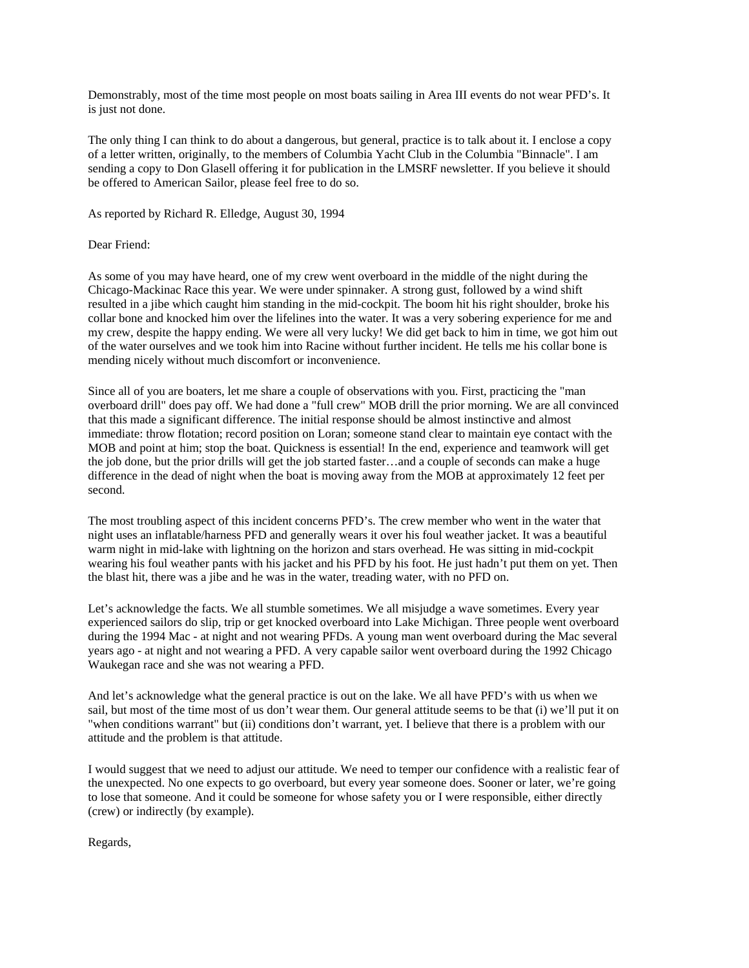Demonstrably, most of the time most people on most boats sailing in Area III events do not wear PFD's. It is just not done.

The only thing I can think to do about a dangerous, but general, practice is to talk about it. I enclose a copy of a letter written, originally, to the members of Columbia Yacht Club in the Columbia "Binnacle". I am sending a copy to Don Glasell offering it for publication in the LMSRF newsletter. If you believe it should be offered to American Sailor, please feel free to do so.

As reported by Richard R. Elledge, August 30, 1994

### Dear Friend:

As some of you may have heard, one of my crew went overboard in the middle of the night during the Chicago-Mackinac Race this year. We were under spinnaker. A strong gust, followed by a wind shift resulted in a jibe which caught him standing in the mid-cockpit. The boom hit his right shoulder, broke his collar bone and knocked him over the lifelines into the water. It was a very sobering experience for me and my crew, despite the happy ending. We were all very lucky! We did get back to him in time, we got him out of the water ourselves and we took him into Racine without further incident. He tells me his collar bone is mending nicely without much discomfort or inconvenience.

Since all of you are boaters, let me share a couple of observations with you. First, practicing the "man overboard drill" does pay off. We had done a "full crew" MOB drill the prior morning. We are all convinced that this made a significant difference. The initial response should be almost instinctive and almost immediate: throw flotation; record position on Loran; someone stand clear to maintain eye contact with the MOB and point at him; stop the boat. Quickness is essential! In the end, experience and teamwork will get the job done, but the prior drills will get the job started faster…and a couple of seconds can make a huge difference in the dead of night when the boat is moving away from the MOB at approximately 12 feet per second.

The most troubling aspect of this incident concerns PFD's. The crew member who went in the water that night uses an inflatable/harness PFD and generally wears it over his foul weather jacket. It was a beautiful warm night in mid-lake with lightning on the horizon and stars overhead. He was sitting in mid-cockpit wearing his foul weather pants with his jacket and his PFD by his foot. He just hadn't put them on yet. Then the blast hit, there was a jibe and he was in the water, treading water, with no PFD on.

Let's acknowledge the facts. We all stumble sometimes. We all misjudge a wave sometimes. Every year experienced sailors do slip, trip or get knocked overboard into Lake Michigan. Three people went overboard during the 1994 Mac - at night and not wearing PFDs. A young man went overboard during the Mac several years ago - at night and not wearing a PFD. A very capable sailor went overboard during the 1992 Chicago Waukegan race and she was not wearing a PFD.

And let's acknowledge what the general practice is out on the lake. We all have PFD's with us when we sail, but most of the time most of us don't wear them. Our general attitude seems to be that (i) we'll put it on "when conditions warrant" but (ii) conditions don't warrant, yet. I believe that there is a problem with our attitude and the problem is that attitude.

I would suggest that we need to adjust our attitude. We need to temper our confidence with a realistic fear of the unexpected. No one expects to go overboard, but every year someone does. Sooner or later, we're going to lose that someone. And it could be someone for whose safety you or I were responsible, either directly (crew) or indirectly (by example).

Regards,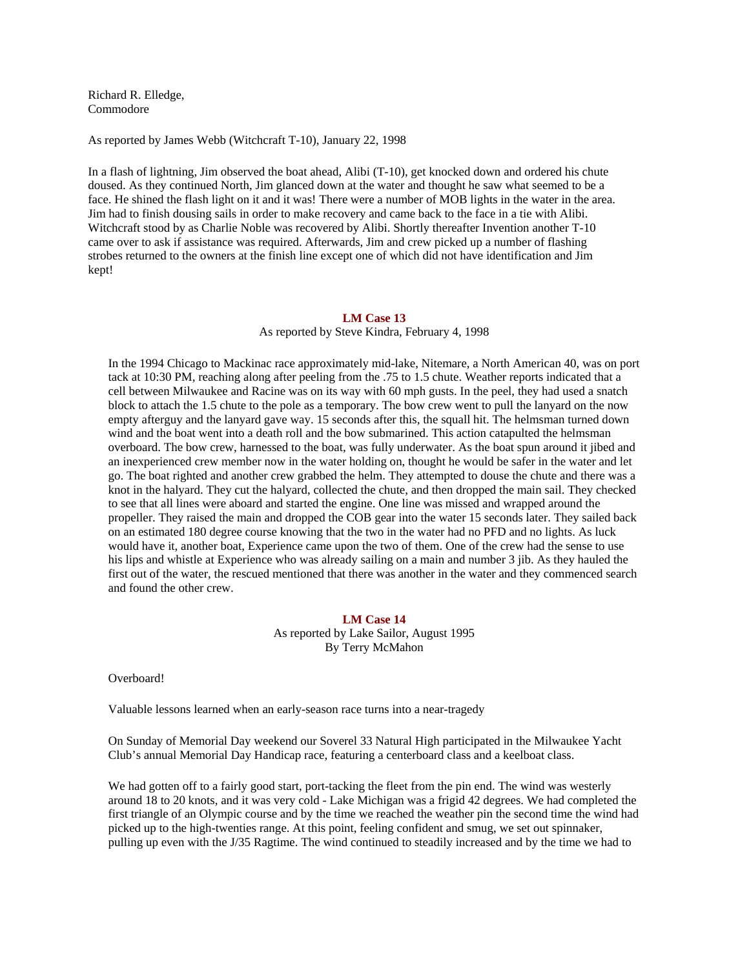Richard R. Elledge, Commodore

As reported by James Webb (Witchcraft T-10), January 22, 1998

In a flash of lightning, Jim observed the boat ahead, Alibi (T-10), get knocked down and ordered his chute doused. As they continued North, Jim glanced down at the water and thought he saw what seemed to be a face. He shined the flash light on it and it was! There were a number of MOB lights in the water in the area. Jim had to finish dousing sails in order to make recovery and came back to the face in a tie with Alibi. Witchcraft stood by as Charlie Noble was recovered by Alibi. Shortly thereafter Invention another T-10 came over to ask if assistance was required. Afterwards, Jim and crew picked up a number of flashing strobes returned to the owners at the finish line except one of which did not have identification and Jim kept!

# **LM Case 13**

As reported by Steve Kindra, February 4, 1998

In the 1994 Chicago to Mackinac race approximately mid-lake, Nitemare, a North American 40, was on port tack at 10:30 PM, reaching along after peeling from the .75 to 1.5 chute. Weather reports indicated that a cell between Milwaukee and Racine was on its way with 60 mph gusts. In the peel, they had used a snatch block to attach the 1.5 chute to the pole as a temporary. The bow crew went to pull the lanyard on the now empty afterguy and the lanyard gave way. 15 seconds after this, the squall hit. The helmsman turned down wind and the boat went into a death roll and the bow submarined. This action catapulted the helmsman overboard. The bow crew, harnessed to the boat, was fully underwater. As the boat spun around it jibed and an inexperienced crew member now in the water holding on, thought he would be safer in the water and let go. The boat righted and another crew grabbed the helm. They attempted to douse the chute and there was a knot in the halyard. They cut the halyard, collected the chute, and then dropped the main sail. They checked to see that all lines were aboard and started the engine. One line was missed and wrapped around the propeller. They raised the main and dropped the COB gear into the water 15 seconds later. They sailed back on an estimated 180 degree course knowing that the two in the water had no PFD and no lights. As luck would have it, another boat, Experience came upon the two of them. One of the crew had the sense to use his lips and whistle at Experience who was already sailing on a main and number 3 jib. As they hauled the first out of the water, the rescued mentioned that there was another in the water and they commenced search and found the other crew.

# **LM Case 14**  As reported by Lake Sailor, August 1995 By Terry McMahon

Overboard!

Valuable lessons learned when an early-season race turns into a near-tragedy

On Sunday of Memorial Day weekend our Soverel 33 Natural High participated in the Milwaukee Yacht Club's annual Memorial Day Handicap race, featuring a centerboard class and a keelboat class.

We had gotten off to a fairly good start, port-tacking the fleet from the pin end. The wind was westerly around 18 to 20 knots, and it was very cold - Lake Michigan was a frigid 42 degrees. We had completed the first triangle of an Olympic course and by the time we reached the weather pin the second time the wind had picked up to the high-twenties range. At this point, feeling confident and smug, we set out spinnaker, pulling up even with the J/35 Ragtime. The wind continued to steadily increased and by the time we had to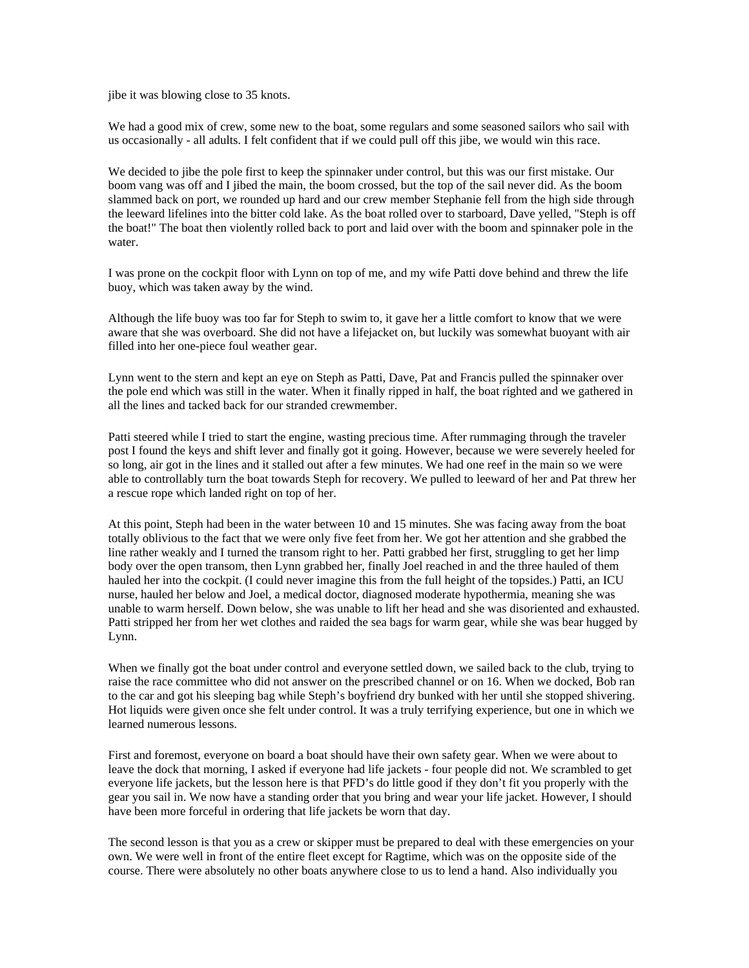jibe it was blowing close to 35 knots.

We had a good mix of crew, some new to the boat, some regulars and some seasoned sailors who sail with us occasionally - all adults. I felt confident that if we could pull off this jibe, we would win this race.

We decided to jibe the pole first to keep the spinnaker under control, but this was our first mistake. Our boom vang was off and I jibed the main, the boom crossed, but the top of the sail never did. As the boom slammed back on port, we rounded up hard and our crew member Stephanie fell from the high side through the leeward lifelines into the bitter cold lake. As the boat rolled over to starboard, Dave yelled, "Steph is off the boat!" The boat then violently rolled back to port and laid over with the boom and spinnaker pole in the water.

I was prone on the cockpit floor with Lynn on top of me, and my wife Patti dove behind and threw the life buoy, which was taken away by the wind.

Although the life buoy was too far for Steph to swim to, it gave her a little comfort to know that we were aware that she was overboard. She did not have a lifejacket on, but luckily was somewhat buoyant with air filled into her one-piece foul weather gear.

Lynn went to the stern and kept an eye on Steph as Patti, Dave, Pat and Francis pulled the spinnaker over the pole end which was still in the water. When it finally ripped in half, the boat righted and we gathered in all the lines and tacked back for our stranded crewmember.

Patti steered while I tried to start the engine, wasting precious time. After rummaging through the traveler post I found the keys and shift lever and finally got it going. However, because we were severely heeled for so long, air got in the lines and it stalled out after a few minutes. We had one reef in the main so we were able to controllably turn the boat towards Steph for recovery. We pulled to leeward of her and Pat threw her a rescue rope which landed right on top of her.

At this point, Steph had been in the water between 10 and 15 minutes. She was facing away from the boat totally oblivious to the fact that we were only five feet from her. We got her attention and she grabbed the line rather weakly and I turned the transom right to her. Patti grabbed her first, struggling to get her limp body over the open transom, then Lynn grabbed her, finally Joel reached in and the three hauled of them hauled her into the cockpit. (I could never imagine this from the full height of the topsides.) Patti, an ICU nurse, hauled her below and Joel, a medical doctor, diagnosed moderate hypothermia, meaning she was unable to warm herself. Down below, she was unable to lift her head and she was disoriented and exhausted. Patti stripped her from her wet clothes and raided the sea bags for warm gear, while she was bear hugged by Lynn.

When we finally got the boat under control and everyone settled down, we sailed back to the club, trying to raise the race committee who did not answer on the prescribed channel or on 16. When we docked, Bob ran to the car and got his sleeping bag while Steph's boyfriend dry bunked with her until she stopped shivering. Hot liquids were given once she felt under control. It was a truly terrifying experience, but one in which we learned numerous lessons.

First and foremost, everyone on board a boat should have their own safety gear. When we were about to leave the dock that morning, I asked if everyone had life jackets - four people did not. We scrambled to get everyone life jackets, but the lesson here is that PFD's do little good if they don't fit you properly with the gear you sail in. We now have a standing order that you bring and wear your life jacket. However, I should have been more forceful in ordering that life jackets be worn that day.

The second lesson is that you as a crew or skipper must be prepared to deal with these emergencies on your own. We were well in front of the entire fleet except for Ragtime, which was on the opposite side of the course. There were absolutely no other boats anywhere close to us to lend a hand. Also individually you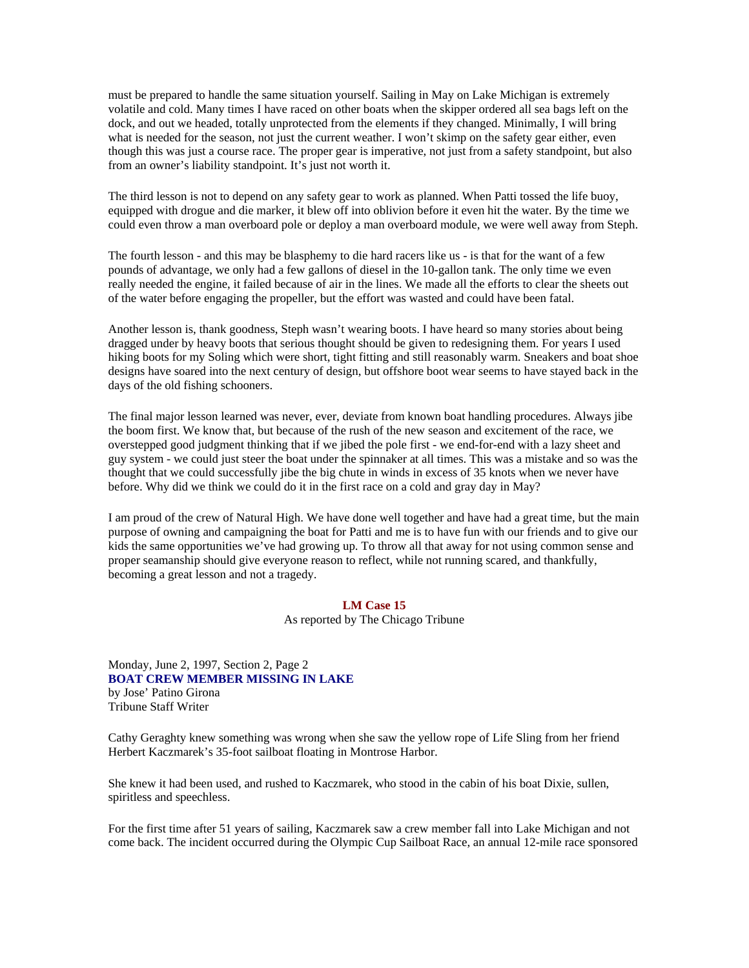must be prepared to handle the same situation yourself. Sailing in May on Lake Michigan is extremely volatile and cold. Many times I have raced on other boats when the skipper ordered all sea bags left on the dock, and out we headed, totally unprotected from the elements if they changed. Minimally, I will bring what is needed for the season, not just the current weather. I won't skimp on the safety gear either, even though this was just a course race. The proper gear is imperative, not just from a safety standpoint, but also from an owner's liability standpoint. It's just not worth it.

The third lesson is not to depend on any safety gear to work as planned. When Patti tossed the life buoy, equipped with drogue and die marker, it blew off into oblivion before it even hit the water. By the time we could even throw a man overboard pole or deploy a man overboard module, we were well away from Steph.

The fourth lesson - and this may be blasphemy to die hard racers like us - is that for the want of a few pounds of advantage, we only had a few gallons of diesel in the 10-gallon tank. The only time we even really needed the engine, it failed because of air in the lines. We made all the efforts to clear the sheets out of the water before engaging the propeller, but the effort was wasted and could have been fatal.

Another lesson is, thank goodness, Steph wasn't wearing boots. I have heard so many stories about being dragged under by heavy boots that serious thought should be given to redesigning them. For years I used hiking boots for my Soling which were short, tight fitting and still reasonably warm. Sneakers and boat shoe designs have soared into the next century of design, but offshore boot wear seems to have stayed back in the days of the old fishing schooners.

The final major lesson learned was never, ever, deviate from known boat handling procedures. Always jibe the boom first. We know that, but because of the rush of the new season and excitement of the race, we overstepped good judgment thinking that if we jibed the pole first - we end-for-end with a lazy sheet and guy system - we could just steer the boat under the spinnaker at all times. This was a mistake and so was the thought that we could successfully jibe the big chute in winds in excess of 35 knots when we never have before. Why did we think we could do it in the first race on a cold and gray day in May?

I am proud of the crew of Natural High. We have done well together and have had a great time, but the main purpose of owning and campaigning the boat for Patti and me is to have fun with our friends and to give our kids the same opportunities we've had growing up. To throw all that away for not using common sense and proper seamanship should give everyone reason to reflect, while not running scared, and thankfully, becoming a great lesson and not a tragedy.

## **LM Case 15**

As reported by The Chicago Tribune

# Monday, June 2, 1997, Section 2, Page 2 **BOAT CREW MEMBER MISSING IN LAKE**  by Jose' Patino Girona Tribune Staff Writer

Cathy Geraghty knew something was wrong when she saw the yellow rope of Life Sling from her friend Herbert Kaczmarek's 35-foot sailboat floating in Montrose Harbor.

She knew it had been used, and rushed to Kaczmarek, who stood in the cabin of his boat Dixie, sullen, spiritless and speechless.

For the first time after 51 years of sailing, Kaczmarek saw a crew member fall into Lake Michigan and not come back. The incident occurred during the Olympic Cup Sailboat Race, an annual 12-mile race sponsored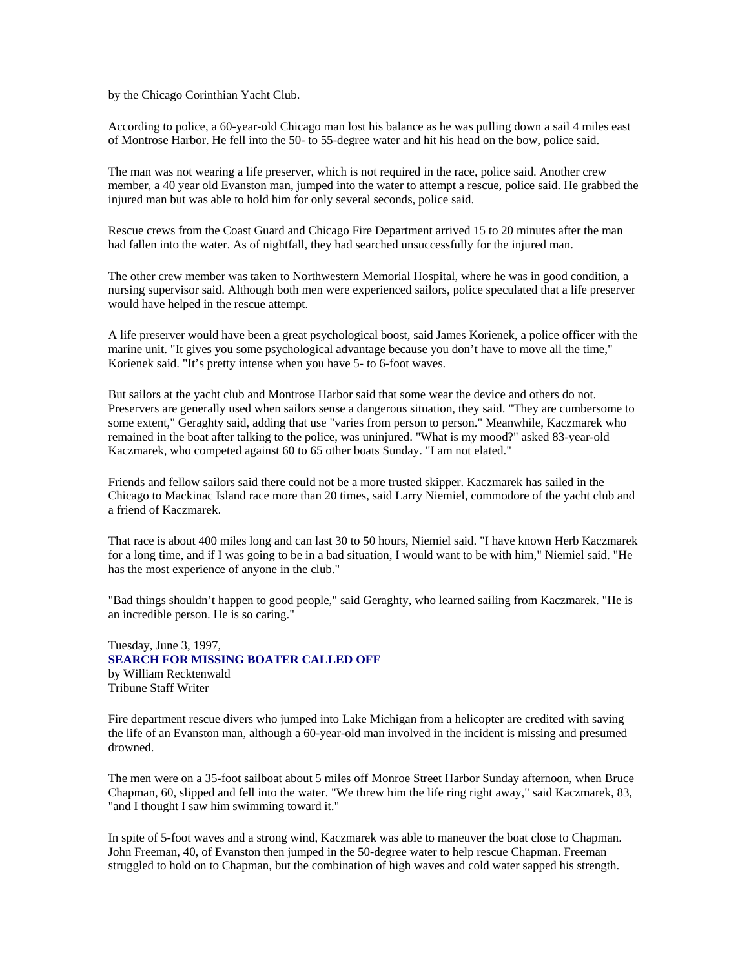by the Chicago Corinthian Yacht Club.

According to police, a 60-year-old Chicago man lost his balance as he was pulling down a sail 4 miles east of Montrose Harbor. He fell into the 50- to 55-degree water and hit his head on the bow, police said.

The man was not wearing a life preserver, which is not required in the race, police said. Another crew member, a 40 year old Evanston man, jumped into the water to attempt a rescue, police said. He grabbed the injured man but was able to hold him for only several seconds, police said.

Rescue crews from the Coast Guard and Chicago Fire Department arrived 15 to 20 minutes after the man had fallen into the water. As of nightfall, they had searched unsuccessfully for the injured man.

The other crew member was taken to Northwestern Memorial Hospital, where he was in good condition, a nursing supervisor said. Although both men were experienced sailors, police speculated that a life preserver would have helped in the rescue attempt.

A life preserver would have been a great psychological boost, said James Korienek, a police officer with the marine unit. "It gives you some psychological advantage because you don't have to move all the time," Korienek said. "It's pretty intense when you have 5- to 6-foot waves.

But sailors at the yacht club and Montrose Harbor said that some wear the device and others do not. Preservers are generally used when sailors sense a dangerous situation, they said. "They are cumbersome to some extent," Geraghty said, adding that use "varies from person to person." Meanwhile, Kaczmarek who remained in the boat after talking to the police, was uninjured. "What is my mood?" asked 83-year-old Kaczmarek, who competed against 60 to 65 other boats Sunday. "I am not elated."

Friends and fellow sailors said there could not be a more trusted skipper. Kaczmarek has sailed in the Chicago to Mackinac Island race more than 20 times, said Larry Niemiel, commodore of the yacht club and a friend of Kaczmarek.

That race is about 400 miles long and can last 30 to 50 hours, Niemiel said. "I have known Herb Kaczmarek for a long time, and if I was going to be in a bad situation, I would want to be with him," Niemiel said. "He has the most experience of anyone in the club."

"Bad things shouldn't happen to good people," said Geraghty, who learned sailing from Kaczmarek. "He is an incredible person. He is so caring."

Tuesday, June 3, 1997, **SEARCH FOR MISSING BOATER CALLED OFF**  by William Recktenwald Tribune Staff Writer

Fire department rescue divers who jumped into Lake Michigan from a helicopter are credited with saving the life of an Evanston man, although a 60-year-old man involved in the incident is missing and presumed drowned.

The men were on a 35-foot sailboat about 5 miles off Monroe Street Harbor Sunday afternoon, when Bruce Chapman, 60, slipped and fell into the water. "We threw him the life ring right away," said Kaczmarek, 83, "and I thought I saw him swimming toward it."

In spite of 5-foot waves and a strong wind, Kaczmarek was able to maneuver the boat close to Chapman. John Freeman, 40, of Evanston then jumped in the 50-degree water to help rescue Chapman. Freeman struggled to hold on to Chapman, but the combination of high waves and cold water sapped his strength.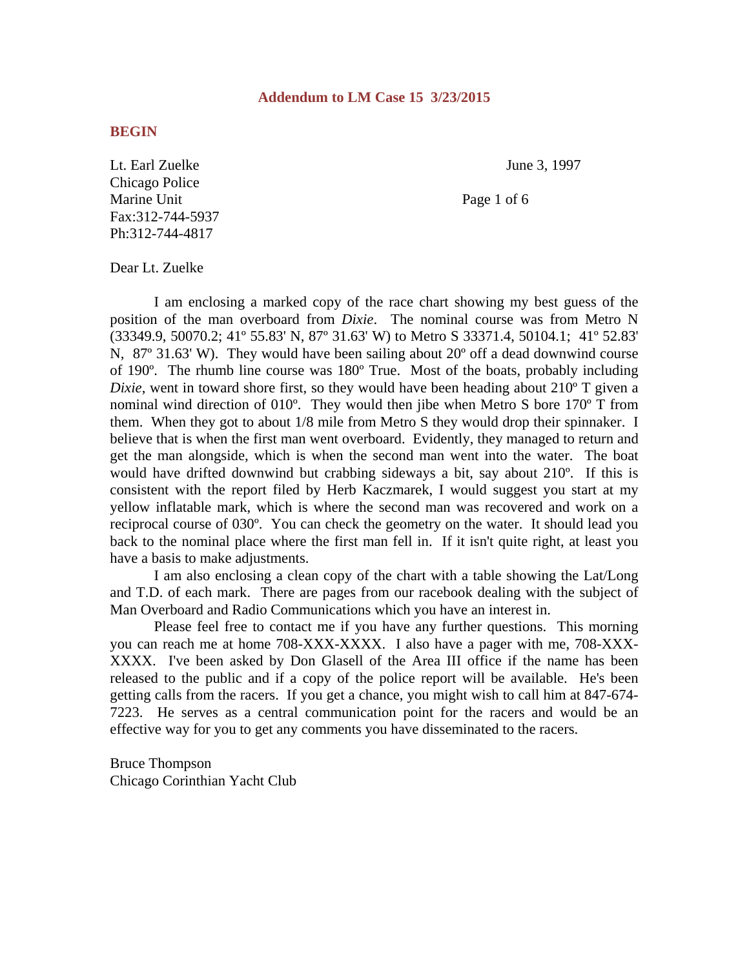# **Addendum to LM Case 15 3/23/2015**

# **BEGIN**

Lt. Earl Zuelke June 3, 1997 Chicago Police Marine Unit Page 1 of 6 Fax:312-744-5937 Ph:312-744-4817

Dear Lt. Zuelke

 I am enclosing a marked copy of the race chart showing my best guess of the position of the man overboard from *Dixie*. The nominal course was from Metro N (33349.9, 50070.2; 41º 55.83' N, 87º 31.63' W) to Metro S 33371.4, 50104.1; 41º 52.83' N, 87° 31.63' W). They would have been sailing about 20° off a dead downwind course of 190º. The rhumb line course was 180º True. Most of the boats, probably including *Dixie*, went in toward shore first, so they would have been heading about 210<sup>o</sup> T given a nominal wind direction of 010º. They would then jibe when Metro S bore 170º T from them. When they got to about 1/8 mile from Metro S they would drop their spinnaker. I believe that is when the first man went overboard. Evidently, they managed to return and get the man alongside, which is when the second man went into the water. The boat would have drifted downwind but crabbing sideways a bit, say about 210º. If this is consistent with the report filed by Herb Kaczmarek, I would suggest you start at my yellow inflatable mark, which is where the second man was recovered and work on a reciprocal course of 030º. You can check the geometry on the water. It should lead you back to the nominal place where the first man fell in. If it isn't quite right, at least you have a basis to make adjustments.

 I am also enclosing a clean copy of the chart with a table showing the Lat/Long and T.D. of each mark. There are pages from our racebook dealing with the subject of Man Overboard and Radio Communications which you have an interest in.

 Please feel free to contact me if you have any further questions. This morning you can reach me at home 708-XXX-XXXX. I also have a pager with me, 708-XXX-XXXX. I've been asked by Don Glasell of the Area III office if the name has been released to the public and if a copy of the police report will be available. He's been getting calls from the racers. If you get a chance, you might wish to call him at 847-674- 7223. He serves as a central communication point for the racers and would be an effective way for you to get any comments you have disseminated to the racers.

Bruce Thompson Chicago Corinthian Yacht Club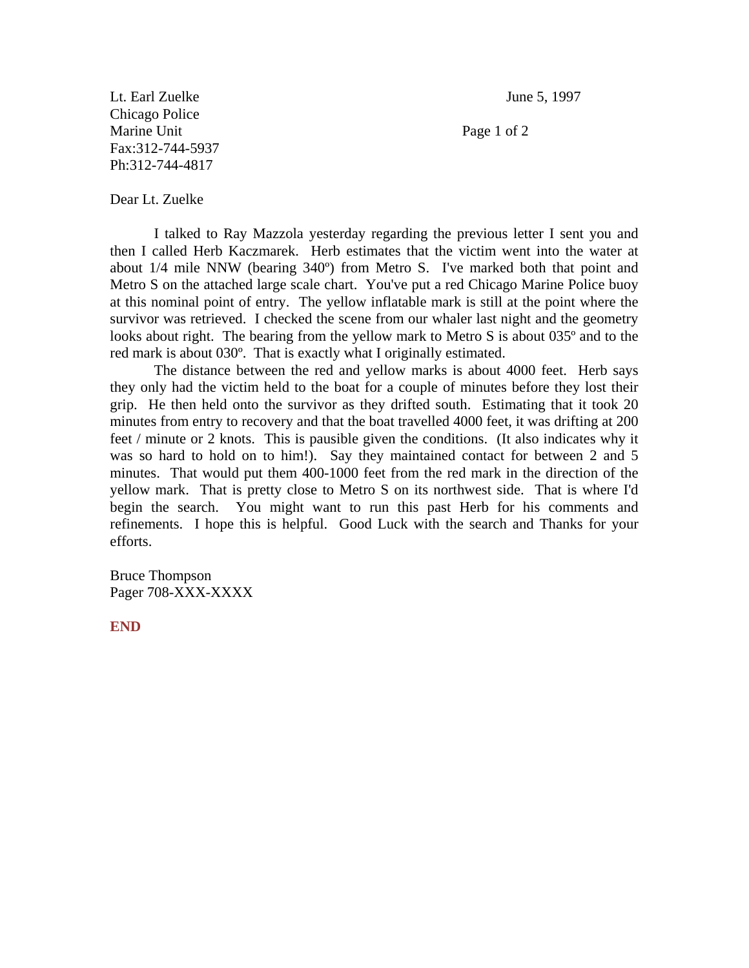Lt. Earl Zuelke June 5, 1997 Chicago Police Marine Unit Page 1 of 2 Fax:312-744-5937 Ph:312-744-4817

Dear Lt. Zuelke

 I talked to Ray Mazzola yesterday regarding the previous letter I sent you and then I called Herb Kaczmarek. Herb estimates that the victim went into the water at about 1/4 mile NNW (bearing 340º) from Metro S. I've marked both that point and Metro S on the attached large scale chart. You've put a red Chicago Marine Police buoy at this nominal point of entry. The yellow inflatable mark is still at the point where the survivor was retrieved. I checked the scene from our whaler last night and the geometry looks about right. The bearing from the yellow mark to Metro S is about 035<sup>°</sup> and to the red mark is about 030º. That is exactly what I originally estimated.

 The distance between the red and yellow marks is about 4000 feet. Herb says they only had the victim held to the boat for a couple of minutes before they lost their grip. He then held onto the survivor as they drifted south. Estimating that it took 20 minutes from entry to recovery and that the boat travelled 4000 feet, it was drifting at 200 feet / minute or 2 knots. This is pausible given the conditions. (It also indicates why it was so hard to hold on to him!). Say they maintained contact for between 2 and 5 minutes. That would put them 400-1000 feet from the red mark in the direction of the yellow mark. That is pretty close to Metro S on its northwest side. That is where I'd begin the search. You might want to run this past Herb for his comments and refinements. I hope this is helpful. Good Luck with the search and Thanks for your efforts.

Bruce Thompson Pager 708-XXX-XXXX

**END**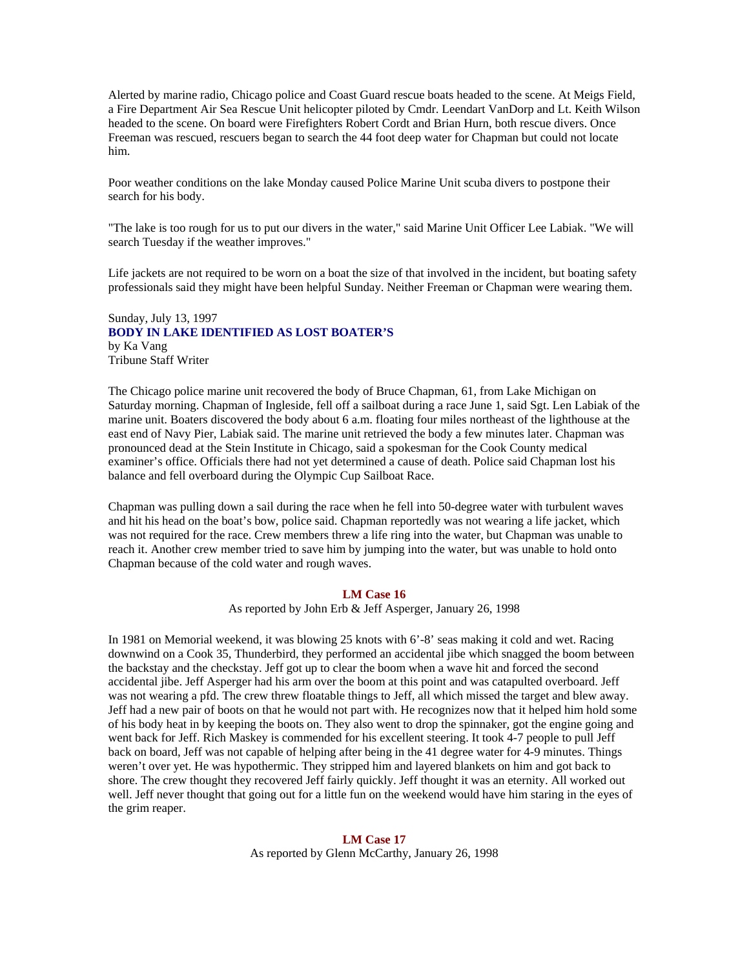Alerted by marine radio, Chicago police and Coast Guard rescue boats headed to the scene. At Meigs Field, a Fire Department Air Sea Rescue Unit helicopter piloted by Cmdr. Leendart VanDorp and Lt. Keith Wilson headed to the scene. On board were Firefighters Robert Cordt and Brian Hurn, both rescue divers. Once Freeman was rescued, rescuers began to search the 44 foot deep water for Chapman but could not locate him.

Poor weather conditions on the lake Monday caused Police Marine Unit scuba divers to postpone their search for his body.

"The lake is too rough for us to put our divers in the water," said Marine Unit Officer Lee Labiak. "We will search Tuesday if the weather improves."

Life jackets are not required to be worn on a boat the size of that involved in the incident, but boating safety professionals said they might have been helpful Sunday. Neither Freeman or Chapman were wearing them.

# Sunday, July 13, 1997 **BODY IN LAKE IDENTIFIED AS LOST BOATER'S**  by Ka Vang Tribune Staff Writer

The Chicago police marine unit recovered the body of Bruce Chapman, 61, from Lake Michigan on Saturday morning. Chapman of Ingleside, fell off a sailboat during a race June 1, said Sgt. Len Labiak of the marine unit. Boaters discovered the body about 6 a.m. floating four miles northeast of the lighthouse at the east end of Navy Pier, Labiak said. The marine unit retrieved the body a few minutes later. Chapman was pronounced dead at the Stein Institute in Chicago, said a spokesman for the Cook County medical examiner's office. Officials there had not yet determined a cause of death. Police said Chapman lost his balance and fell overboard during the Olympic Cup Sailboat Race.

Chapman was pulling down a sail during the race when he fell into 50-degree water with turbulent waves and hit his head on the boat's bow, police said. Chapman reportedly was not wearing a life jacket, which was not required for the race. Crew members threw a life ring into the water, but Chapman was unable to reach it. Another crew member tried to save him by jumping into the water, but was unable to hold onto Chapman because of the cold water and rough waves.

#### **LM Case 16**

As reported by John Erb & Jeff Asperger, January 26, 1998

In 1981 on Memorial weekend, it was blowing 25 knots with 6'-8' seas making it cold and wet. Racing downwind on a Cook 35, Thunderbird, they performed an accidental jibe which snagged the boom between the backstay and the checkstay. Jeff got up to clear the boom when a wave hit and forced the second accidental jibe. Jeff Asperger had his arm over the boom at this point and was catapulted overboard. Jeff was not wearing a pfd. The crew threw floatable things to Jeff, all which missed the target and blew away. Jeff had a new pair of boots on that he would not part with. He recognizes now that it helped him hold some of his body heat in by keeping the boots on. They also went to drop the spinnaker, got the engine going and went back for Jeff. Rich Maskey is commended for his excellent steering. It took 4-7 people to pull Jeff back on board, Jeff was not capable of helping after being in the 41 degree water for 4-9 minutes. Things weren't over yet. He was hypothermic. They stripped him and layered blankets on him and got back to shore. The crew thought they recovered Jeff fairly quickly. Jeff thought it was an eternity. All worked out well. Jeff never thought that going out for a little fun on the weekend would have him staring in the eyes of the grim reaper.

# **LM Case 17**  As reported by Glenn McCarthy, January 26, 1998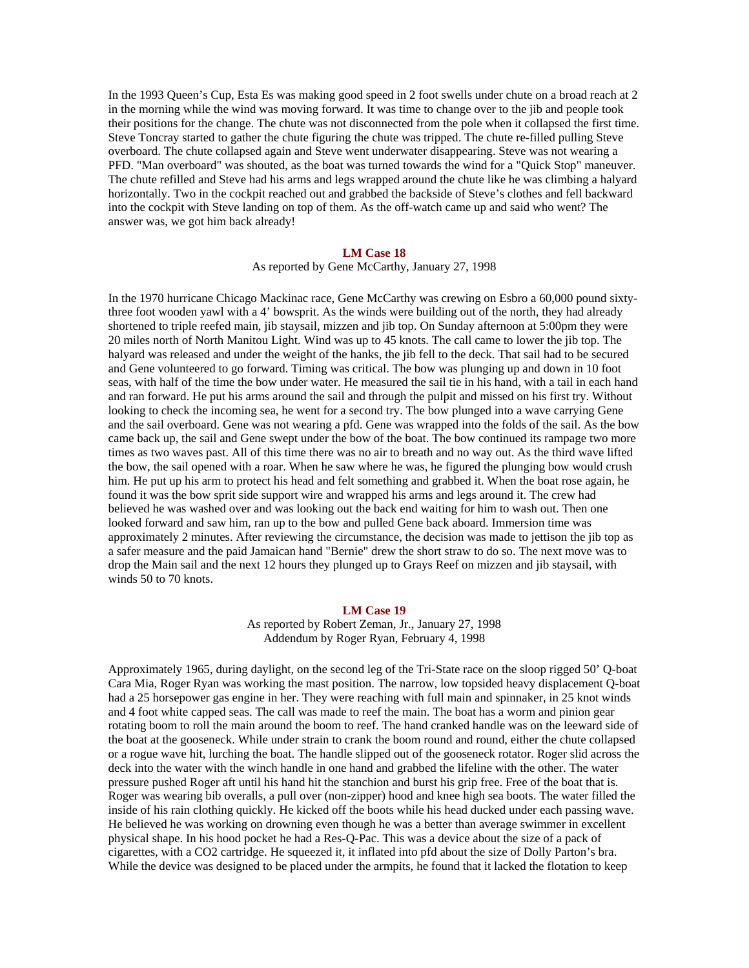In the 1993 Queen's Cup, Esta Es was making good speed in 2 foot swells under chute on a broad reach at 2 in the morning while the wind was moving forward. It was time to change over to the jib and people took their positions for the change. The chute was not disconnected from the pole when it collapsed the first time. Steve Toncray started to gather the chute figuring the chute was tripped. The chute re-filled pulling Steve overboard. The chute collapsed again and Steve went underwater disappearing. Steve was not wearing a PFD. "Man overboard" was shouted, as the boat was turned towards the wind for a "Quick Stop" maneuver. The chute refilled and Steve had his arms and legs wrapped around the chute like he was climbing a halyard horizontally. Two in the cockpit reached out and grabbed the backside of Steve's clothes and fell backward into the cockpit with Steve landing on top of them. As the off-watch came up and said who went? The answer was, we got him back already!

# **LM Case 18**

As reported by Gene McCarthy, January 27, 1998

In the 1970 hurricane Chicago Mackinac race, Gene McCarthy was crewing on Esbro a 60,000 pound sixtythree foot wooden yawl with a 4' bowsprit. As the winds were building out of the north, they had already shortened to triple reefed main, jib staysail, mizzen and jib top. On Sunday afternoon at 5:00pm they were 20 miles north of North Manitou Light. Wind was up to 45 knots. The call came to lower the jib top. The halyard was released and under the weight of the hanks, the jib fell to the deck. That sail had to be secured and Gene volunteered to go forward. Timing was critical. The bow was plunging up and down in 10 foot seas, with half of the time the bow under water. He measured the sail tie in his hand, with a tail in each hand and ran forward. He put his arms around the sail and through the pulpit and missed on his first try. Without looking to check the incoming sea, he went for a second try. The bow plunged into a wave carrying Gene and the sail overboard. Gene was not wearing a pfd. Gene was wrapped into the folds of the sail. As the bow came back up, the sail and Gene swept under the bow of the boat. The bow continued its rampage two more times as two waves past. All of this time there was no air to breath and no way out. As the third wave lifted the bow, the sail opened with a roar. When he saw where he was, he figured the plunging bow would crush him. He put up his arm to protect his head and felt something and grabbed it. When the boat rose again, he found it was the bow sprit side support wire and wrapped his arms and legs around it. The crew had believed he was washed over and was looking out the back end waiting for him to wash out. Then one looked forward and saw him, ran up to the bow and pulled Gene back aboard. Immersion time was approximately 2 minutes. After reviewing the circumstance, the decision was made to jettison the jib top as a safer measure and the paid Jamaican hand "Bernie" drew the short straw to do so. The next move was to drop the Main sail and the next 12 hours they plunged up to Grays Reef on mizzen and jib staysail, with winds 50 to 70 knots.

### **LM Case 19**

As reported by Robert Zeman, Jr., January 27, 1998 Addendum by Roger Ryan, February 4, 1998

Approximately 1965, during daylight, on the second leg of the Tri-State race on the sloop rigged 50' Q-boat Cara Mia, Roger Ryan was working the mast position. The narrow, low topsided heavy displacement Q-boat had a 25 horsepower gas engine in her. They were reaching with full main and spinnaker, in 25 knot winds and 4 foot white capped seas. The call was made to reef the main. The boat has a worm and pinion gear rotating boom to roll the main around the boom to reef. The hand cranked handle was on the leeward side of the boat at the gooseneck. While under strain to crank the boom round and round, either the chute collapsed or a rogue wave hit, lurching the boat. The handle slipped out of the gooseneck rotator. Roger slid across the deck into the water with the winch handle in one hand and grabbed the lifeline with the other. The water pressure pushed Roger aft until his hand hit the stanchion and burst his grip free. Free of the boat that is. Roger was wearing bib overalls, a pull over (non-zipper) hood and knee high sea boots. The water filled the inside of his rain clothing quickly. He kicked off the boots while his head ducked under each passing wave. He believed he was working on drowning even though he was a better than average swimmer in excellent physical shape. In his hood pocket he had a Res-Q-Pac. This was a device about the size of a pack of cigarettes, with a CO2 cartridge. He squeezed it, it inflated into pfd about the size of Dolly Parton's bra. While the device was designed to be placed under the armpits, he found that it lacked the flotation to keep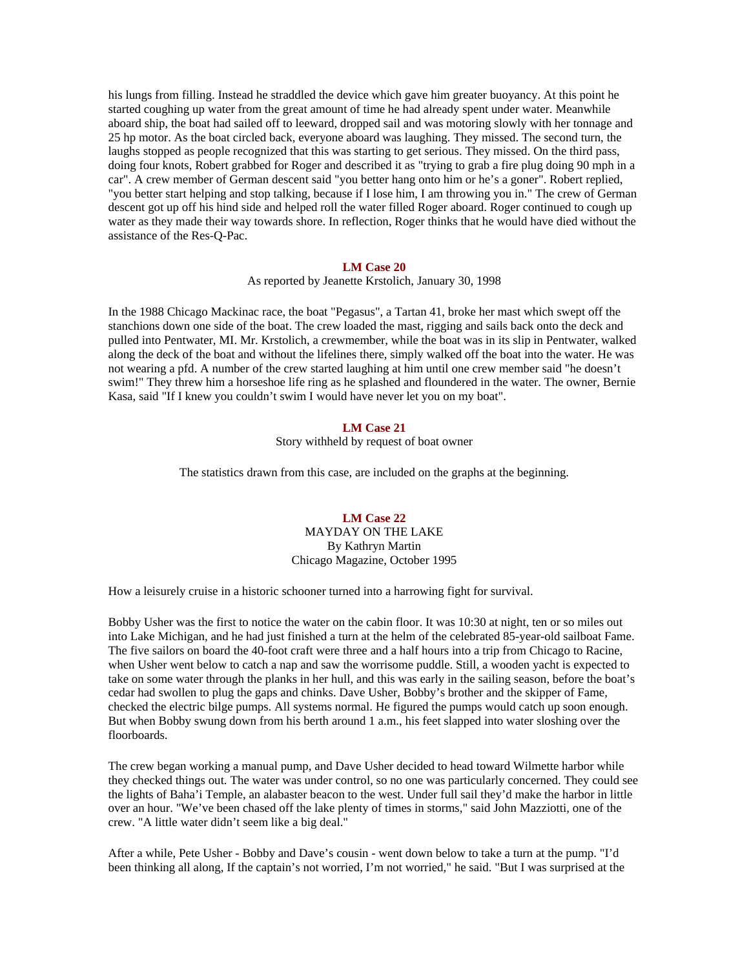his lungs from filling. Instead he straddled the device which gave him greater buoyancy. At this point he started coughing up water from the great amount of time he had already spent under water. Meanwhile aboard ship, the boat had sailed off to leeward, dropped sail and was motoring slowly with her tonnage and 25 hp motor. As the boat circled back, everyone aboard was laughing. They missed. The second turn, the laughs stopped as people recognized that this was starting to get serious. They missed. On the third pass, doing four knots, Robert grabbed for Roger and described it as "trying to grab a fire plug doing 90 mph in a car". A crew member of German descent said "you better hang onto him or he's a goner". Robert replied, "you better start helping and stop talking, because if I lose him, I am throwing you in." The crew of German descent got up off his hind side and helped roll the water filled Roger aboard. Roger continued to cough up water as they made their way towards shore. In reflection, Roger thinks that he would have died without the assistance of the Res-Q-Pac.

#### **LM Case 20**

As reported by Jeanette Krstolich, January 30, 1998

In the 1988 Chicago Mackinac race, the boat "Pegasus", a Tartan 41, broke her mast which swept off the stanchions down one side of the boat. The crew loaded the mast, rigging and sails back onto the deck and pulled into Pentwater, MI. Mr. Krstolich, a crewmember, while the boat was in its slip in Pentwater, walked along the deck of the boat and without the lifelines there, simply walked off the boat into the water. He was not wearing a pfd. A number of the crew started laughing at him until one crew member said "he doesn't swim!" They threw him a horseshoe life ring as he splashed and floundered in the water. The owner, Bernie Kasa, said "If I knew you couldn't swim I would have never let you on my boat".

# **LM Case 21**

Story withheld by request of boat owner

The statistics drawn from this case, are included on the graphs at the beginning.

# **LM Case 22**  MAYDAY ON THE LAKE By Kathryn Martin Chicago Magazine, October 1995

How a leisurely cruise in a historic schooner turned into a harrowing fight for survival.

Bobby Usher was the first to notice the water on the cabin floor. It was 10:30 at night, ten or so miles out into Lake Michigan, and he had just finished a turn at the helm of the celebrated 85-year-old sailboat Fame. The five sailors on board the 40-foot craft were three and a half hours into a trip from Chicago to Racine, when Usher went below to catch a nap and saw the worrisome puddle. Still, a wooden yacht is expected to take on some water through the planks in her hull, and this was early in the sailing season, before the boat's cedar had swollen to plug the gaps and chinks. Dave Usher, Bobby's brother and the skipper of Fame, checked the electric bilge pumps. All systems normal. He figured the pumps would catch up soon enough. But when Bobby swung down from his berth around 1 a.m., his feet slapped into water sloshing over the floorboards.

The crew began working a manual pump, and Dave Usher decided to head toward Wilmette harbor while they checked things out. The water was under control, so no one was particularly concerned. They could see the lights of Baha'i Temple, an alabaster beacon to the west. Under full sail they'd make the harbor in little over an hour. "We've been chased off the lake plenty of times in storms," said John Mazziotti, one of the crew. "A little water didn't seem like a big deal."

After a while, Pete Usher - Bobby and Dave's cousin - went down below to take a turn at the pump. "I'd been thinking all along, If the captain's not worried, I'm not worried," he said. "But I was surprised at the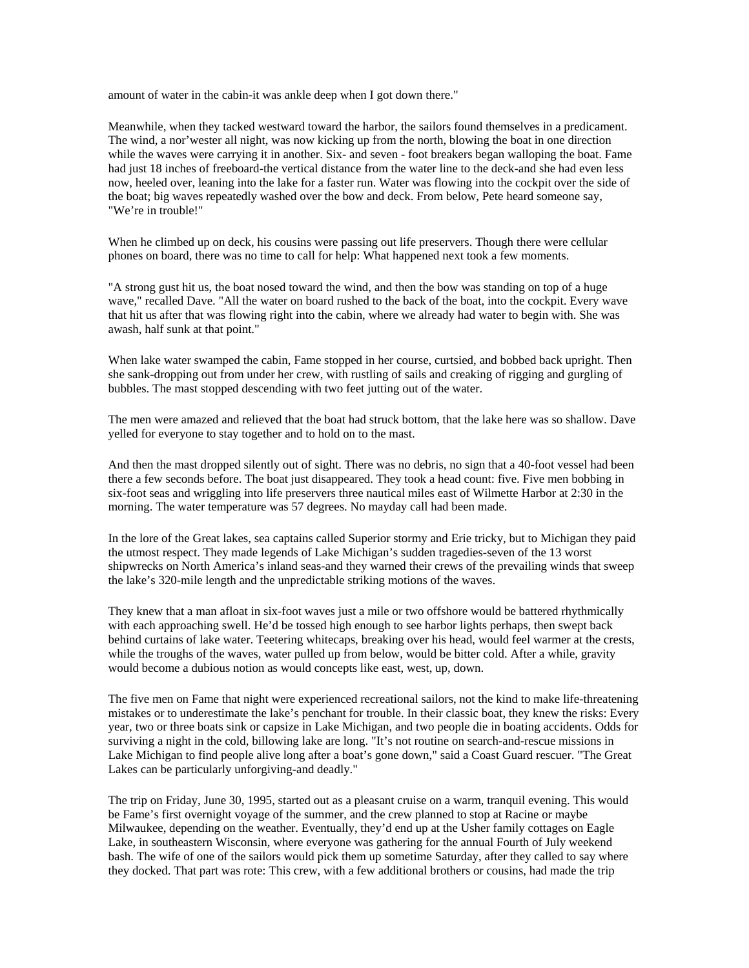amount of water in the cabin-it was ankle deep when I got down there."

Meanwhile, when they tacked westward toward the harbor, the sailors found themselves in a predicament. The wind, a nor'wester all night, was now kicking up from the north, blowing the boat in one direction while the waves were carrying it in another. Six- and seven - foot breakers began walloping the boat. Fame had just 18 inches of freeboard-the vertical distance from the water line to the deck-and she had even less now, heeled over, leaning into the lake for a faster run. Water was flowing into the cockpit over the side of the boat; big waves repeatedly washed over the bow and deck. From below, Pete heard someone say, "We're in trouble!"

When he climbed up on deck, his cousins were passing out life preservers. Though there were cellular phones on board, there was no time to call for help: What happened next took a few moments.

"A strong gust hit us, the boat nosed toward the wind, and then the bow was standing on top of a huge wave," recalled Dave. "All the water on board rushed to the back of the boat, into the cockpit. Every wave that hit us after that was flowing right into the cabin, where we already had water to begin with. She was awash, half sunk at that point."

When lake water swamped the cabin, Fame stopped in her course, curtsied, and bobbed back upright. Then she sank-dropping out from under her crew, with rustling of sails and creaking of rigging and gurgling of bubbles. The mast stopped descending with two feet jutting out of the water.

The men were amazed and relieved that the boat had struck bottom, that the lake here was so shallow. Dave yelled for everyone to stay together and to hold on to the mast.

And then the mast dropped silently out of sight. There was no debris, no sign that a 40-foot vessel had been there a few seconds before. The boat just disappeared. They took a head count: five. Five men bobbing in six-foot seas and wriggling into life preservers three nautical miles east of Wilmette Harbor at 2:30 in the morning. The water temperature was 57 degrees. No mayday call had been made.

In the lore of the Great lakes, sea captains called Superior stormy and Erie tricky, but to Michigan they paid the utmost respect. They made legends of Lake Michigan's sudden tragedies-seven of the 13 worst shipwrecks on North America's inland seas-and they warned their crews of the prevailing winds that sweep the lake's 320-mile length and the unpredictable striking motions of the waves.

They knew that a man afloat in six-foot waves just a mile or two offshore would be battered rhythmically with each approaching swell. He'd be tossed high enough to see harbor lights perhaps, then swept back behind curtains of lake water. Teetering whitecaps, breaking over his head, would feel warmer at the crests, while the troughs of the waves, water pulled up from below, would be bitter cold. After a while, gravity would become a dubious notion as would concepts like east, west, up, down.

The five men on Fame that night were experienced recreational sailors, not the kind to make life-threatening mistakes or to underestimate the lake's penchant for trouble. In their classic boat, they knew the risks: Every year, two or three boats sink or capsize in Lake Michigan, and two people die in boating accidents. Odds for surviving a night in the cold, billowing lake are long. "It's not routine on search-and-rescue missions in Lake Michigan to find people alive long after a boat's gone down," said a Coast Guard rescuer. "The Great Lakes can be particularly unforgiving-and deadly."

The trip on Friday, June 30, 1995, started out as a pleasant cruise on a warm, tranquil evening. This would be Fame's first overnight voyage of the summer, and the crew planned to stop at Racine or maybe Milwaukee, depending on the weather. Eventually, they'd end up at the Usher family cottages on Eagle Lake, in southeastern Wisconsin, where everyone was gathering for the annual Fourth of July weekend bash. The wife of one of the sailors would pick them up sometime Saturday, after they called to say where they docked. That part was rote: This crew, with a few additional brothers or cousins, had made the trip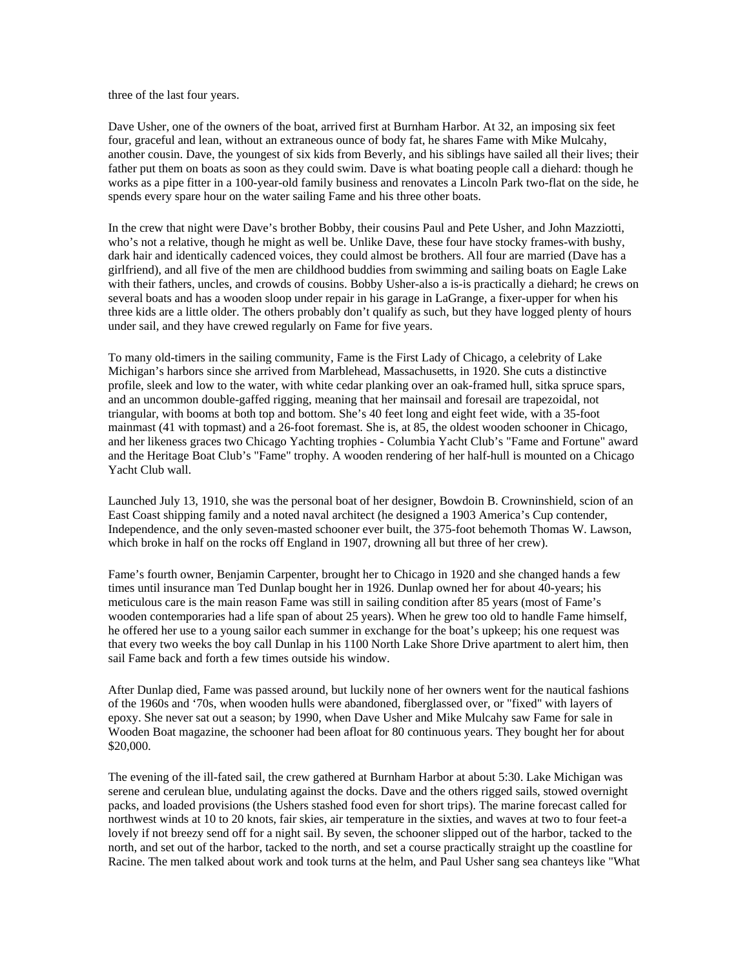three of the last four years.

Dave Usher, one of the owners of the boat, arrived first at Burnham Harbor. At 32, an imposing six feet four, graceful and lean, without an extraneous ounce of body fat, he shares Fame with Mike Mulcahy, another cousin. Dave, the youngest of six kids from Beverly, and his siblings have sailed all their lives; their father put them on boats as soon as they could swim. Dave is what boating people call a diehard: though he works as a pipe fitter in a 100-year-old family business and renovates a Lincoln Park two-flat on the side, he spends every spare hour on the water sailing Fame and his three other boats.

In the crew that night were Dave's brother Bobby, their cousins Paul and Pete Usher, and John Mazziotti, who's not a relative, though he might as well be. Unlike Dave, these four have stocky frames-with bushy, dark hair and identically cadenced voices, they could almost be brothers. All four are married (Dave has a girlfriend), and all five of the men are childhood buddies from swimming and sailing boats on Eagle Lake with their fathers, uncles, and crowds of cousins. Bobby Usher-also a is-is practically a diehard; he crews on several boats and has a wooden sloop under repair in his garage in LaGrange, a fixer-upper for when his three kids are a little older. The others probably don't qualify as such, but they have logged plenty of hours under sail, and they have crewed regularly on Fame for five years.

To many old-timers in the sailing community, Fame is the First Lady of Chicago, a celebrity of Lake Michigan's harbors since she arrived from Marblehead, Massachusetts, in 1920. She cuts a distinctive profile, sleek and low to the water, with white cedar planking over an oak-framed hull, sitka spruce spars, and an uncommon double-gaffed rigging, meaning that her mainsail and foresail are trapezoidal, not triangular, with booms at both top and bottom. She's 40 feet long and eight feet wide, with a 35-foot mainmast (41 with topmast) and a 26-foot foremast. She is, at 85, the oldest wooden schooner in Chicago, and her likeness graces two Chicago Yachting trophies - Columbia Yacht Club's "Fame and Fortune" award and the Heritage Boat Club's "Fame" trophy. A wooden rendering of her half-hull is mounted on a Chicago Yacht Club wall.

Launched July 13, 1910, she was the personal boat of her designer, Bowdoin B. Crowninshield, scion of an East Coast shipping family and a noted naval architect (he designed a 1903 America's Cup contender, Independence, and the only seven-masted schooner ever built, the 375-foot behemoth Thomas W. Lawson, which broke in half on the rocks off England in 1907, drowning all but three of her crew).

Fame's fourth owner, Benjamin Carpenter, brought her to Chicago in 1920 and she changed hands a few times until insurance man Ted Dunlap bought her in 1926. Dunlap owned her for about 40-years; his meticulous care is the main reason Fame was still in sailing condition after 85 years (most of Fame's wooden contemporaries had a life span of about 25 years). When he grew too old to handle Fame himself, he offered her use to a young sailor each summer in exchange for the boat's upkeep; his one request was that every two weeks the boy call Dunlap in his 1100 North Lake Shore Drive apartment to alert him, then sail Fame back and forth a few times outside his window.

After Dunlap died, Fame was passed around, but luckily none of her owners went for the nautical fashions of the 1960s and '70s, when wooden hulls were abandoned, fiberglassed over, or "fixed" with layers of epoxy. She never sat out a season; by 1990, when Dave Usher and Mike Mulcahy saw Fame for sale in Wooden Boat magazine, the schooner had been afloat for 80 continuous years. They bought her for about \$20,000.

The evening of the ill-fated sail, the crew gathered at Burnham Harbor at about 5:30. Lake Michigan was serene and cerulean blue, undulating against the docks. Dave and the others rigged sails, stowed overnight packs, and loaded provisions (the Ushers stashed food even for short trips). The marine forecast called for northwest winds at 10 to 20 knots, fair skies, air temperature in the sixties, and waves at two to four feet-a lovely if not breezy send off for a night sail. By seven, the schooner slipped out of the harbor, tacked to the north, and set out of the harbor, tacked to the north, and set a course practically straight up the coastline for Racine. The men talked about work and took turns at the helm, and Paul Usher sang sea chanteys like "What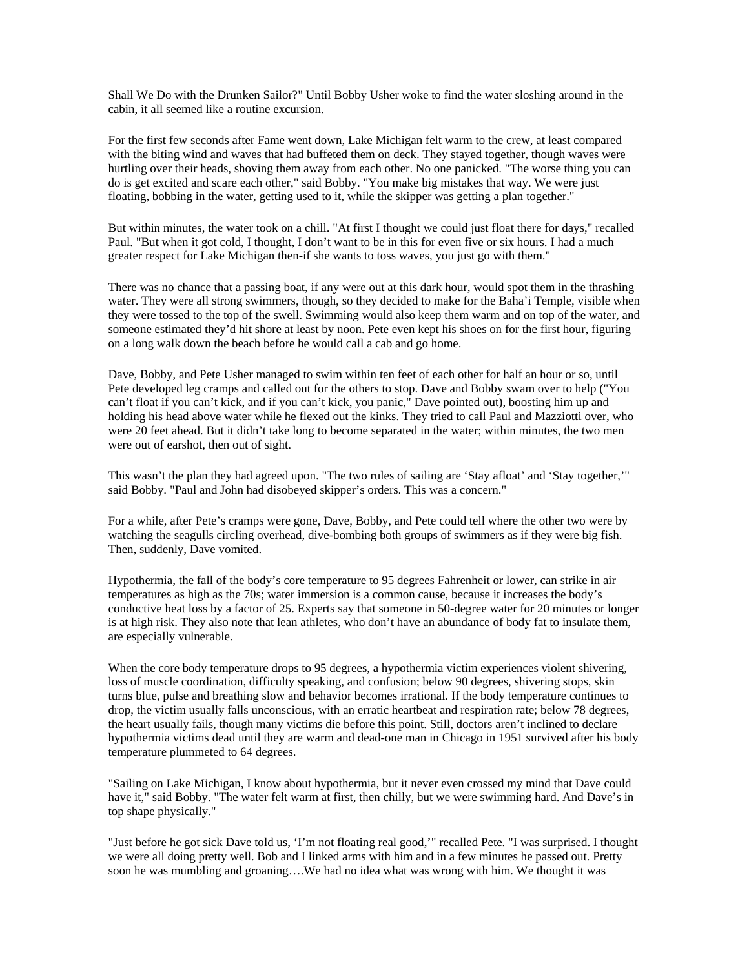Shall We Do with the Drunken Sailor?" Until Bobby Usher woke to find the water sloshing around in the cabin, it all seemed like a routine excursion.

For the first few seconds after Fame went down, Lake Michigan felt warm to the crew, at least compared with the biting wind and waves that had buffeted them on deck. They stayed together, though waves were hurtling over their heads, shoving them away from each other. No one panicked. "The worse thing you can do is get excited and scare each other," said Bobby. "You make big mistakes that way. We were just floating, bobbing in the water, getting used to it, while the skipper was getting a plan together."

But within minutes, the water took on a chill. "At first I thought we could just float there for days," recalled Paul. "But when it got cold, I thought, I don't want to be in this for even five or six hours. I had a much greater respect for Lake Michigan then-if she wants to toss waves, you just go with them."

There was no chance that a passing boat, if any were out at this dark hour, would spot them in the thrashing water. They were all strong swimmers, though, so they decided to make for the Baha'i Temple, visible when they were tossed to the top of the swell. Swimming would also keep them warm and on top of the water, and someone estimated they'd hit shore at least by noon. Pete even kept his shoes on for the first hour, figuring on a long walk down the beach before he would call a cab and go home.

Dave, Bobby, and Pete Usher managed to swim within ten feet of each other for half an hour or so, until Pete developed leg cramps and called out for the others to stop. Dave and Bobby swam over to help ("You can't float if you can't kick, and if you can't kick, you panic," Dave pointed out), boosting him up and holding his head above water while he flexed out the kinks. They tried to call Paul and Mazziotti over, who were 20 feet ahead. But it didn't take long to become separated in the water; within minutes, the two men were out of earshot, then out of sight.

This wasn't the plan they had agreed upon. "The two rules of sailing are 'Stay afloat' and 'Stay together,'" said Bobby. "Paul and John had disobeyed skipper's orders. This was a concern."

For a while, after Pete's cramps were gone, Dave, Bobby, and Pete could tell where the other two were by watching the seagulls circling overhead, dive-bombing both groups of swimmers as if they were big fish. Then, suddenly, Dave vomited.

Hypothermia, the fall of the body's core temperature to 95 degrees Fahrenheit or lower, can strike in air temperatures as high as the 70s; water immersion is a common cause, because it increases the body's conductive heat loss by a factor of 25. Experts say that someone in 50-degree water for 20 minutes or longer is at high risk. They also note that lean athletes, who don't have an abundance of body fat to insulate them, are especially vulnerable.

When the core body temperature drops to 95 degrees, a hypothermia victim experiences violent shivering, loss of muscle coordination, difficulty speaking, and confusion; below 90 degrees, shivering stops, skin turns blue, pulse and breathing slow and behavior becomes irrational. If the body temperature continues to drop, the victim usually falls unconscious, with an erratic heartbeat and respiration rate; below 78 degrees, the heart usually fails, though many victims die before this point. Still, doctors aren't inclined to declare hypothermia victims dead until they are warm and dead-one man in Chicago in 1951 survived after his body temperature plummeted to 64 degrees.

"Sailing on Lake Michigan, I know about hypothermia, but it never even crossed my mind that Dave could have it," said Bobby. "The water felt warm at first, then chilly, but we were swimming hard. And Dave's in top shape physically."

"Just before he got sick Dave told us, 'I'm not floating real good,'" recalled Pete. "I was surprised. I thought we were all doing pretty well. Bob and I linked arms with him and in a few minutes he passed out. Pretty soon he was mumbling and groaning….We had no idea what was wrong with him. We thought it was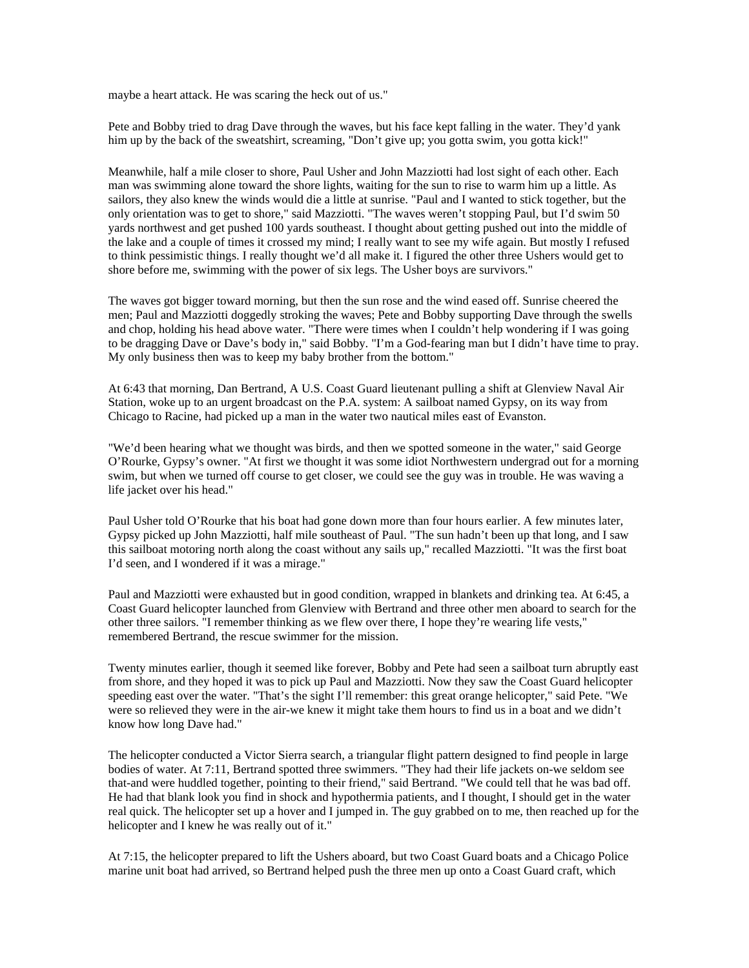maybe a heart attack. He was scaring the heck out of us."

Pete and Bobby tried to drag Dave through the waves, but his face kept falling in the water. They'd yank him up by the back of the sweatshirt, screaming, "Don't give up; you gotta swim, you gotta kick!"

Meanwhile, half a mile closer to shore, Paul Usher and John Mazziotti had lost sight of each other. Each man was swimming alone toward the shore lights, waiting for the sun to rise to warm him up a little. As sailors, they also knew the winds would die a little at sunrise. "Paul and I wanted to stick together, but the only orientation was to get to shore," said Mazziotti. "The waves weren't stopping Paul, but I'd swim 50 yards northwest and get pushed 100 yards southeast. I thought about getting pushed out into the middle of the lake and a couple of times it crossed my mind; I really want to see my wife again. But mostly I refused to think pessimistic things. I really thought we'd all make it. I figured the other three Ushers would get to shore before me, swimming with the power of six legs. The Usher boys are survivors."

The waves got bigger toward morning, but then the sun rose and the wind eased off. Sunrise cheered the men; Paul and Mazziotti doggedly stroking the waves; Pete and Bobby supporting Dave through the swells and chop, holding his head above water. "There were times when I couldn't help wondering if I was going to be dragging Dave or Dave's body in," said Bobby. "I'm a God-fearing man but I didn't have time to pray. My only business then was to keep my baby brother from the bottom."

At 6:43 that morning, Dan Bertrand, A U.S. Coast Guard lieutenant pulling a shift at Glenview Naval Air Station, woke up to an urgent broadcast on the P.A. system: A sailboat named Gypsy, on its way from Chicago to Racine, had picked up a man in the water two nautical miles east of Evanston.

"We'd been hearing what we thought was birds, and then we spotted someone in the water," said George O'Rourke, Gypsy's owner. "At first we thought it was some idiot Northwestern undergrad out for a morning swim, but when we turned off course to get closer, we could see the guy was in trouble. He was waving a life jacket over his head."

Paul Usher told O'Rourke that his boat had gone down more than four hours earlier. A few minutes later, Gypsy picked up John Mazziotti, half mile southeast of Paul. "The sun hadn't been up that long, and I saw this sailboat motoring north along the coast without any sails up," recalled Mazziotti. "It was the first boat I'd seen, and I wondered if it was a mirage."

Paul and Mazziotti were exhausted but in good condition, wrapped in blankets and drinking tea. At 6:45, a Coast Guard helicopter launched from Glenview with Bertrand and three other men aboard to search for the other three sailors. "I remember thinking as we flew over there, I hope they're wearing life vests," remembered Bertrand, the rescue swimmer for the mission.

Twenty minutes earlier, though it seemed like forever, Bobby and Pete had seen a sailboat turn abruptly east from shore, and they hoped it was to pick up Paul and Mazziotti. Now they saw the Coast Guard helicopter speeding east over the water. "That's the sight I'll remember: this great orange helicopter," said Pete. "We were so relieved they were in the air-we knew it might take them hours to find us in a boat and we didn't know how long Dave had."

The helicopter conducted a Victor Sierra search, a triangular flight pattern designed to find people in large bodies of water. At 7:11, Bertrand spotted three swimmers. "They had their life jackets on-we seldom see that-and were huddled together, pointing to their friend," said Bertrand. "We could tell that he was bad off. He had that blank look you find in shock and hypothermia patients, and I thought, I should get in the water real quick. The helicopter set up a hover and I jumped in. The guy grabbed on to me, then reached up for the helicopter and I knew he was really out of it."

At 7:15, the helicopter prepared to lift the Ushers aboard, but two Coast Guard boats and a Chicago Police marine unit boat had arrived, so Bertrand helped push the three men up onto a Coast Guard craft, which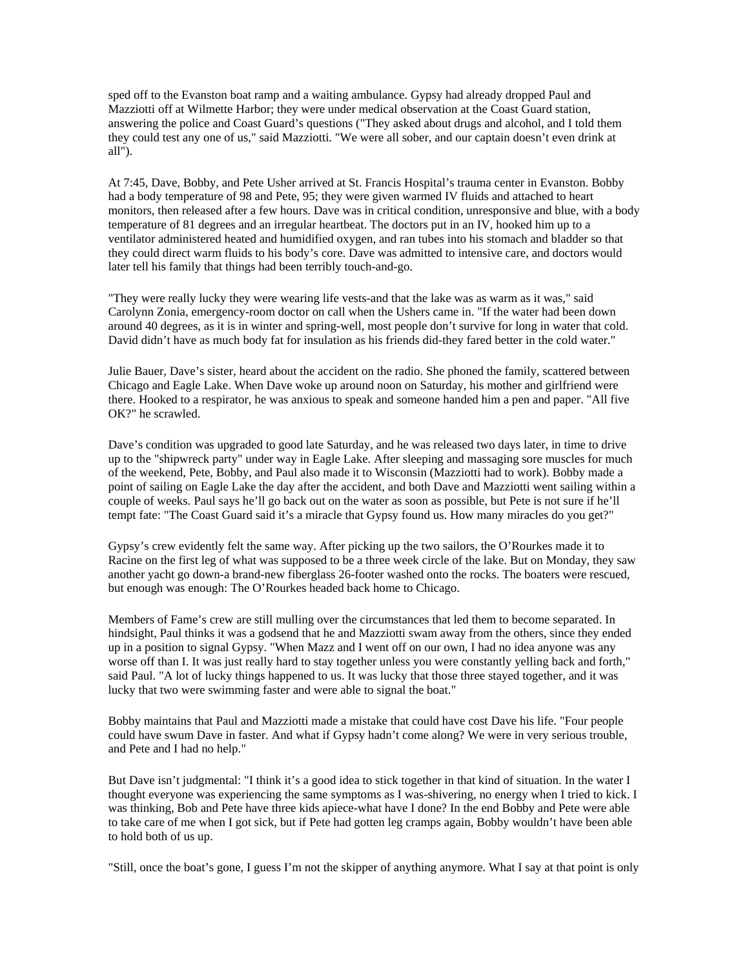sped off to the Evanston boat ramp and a waiting ambulance. Gypsy had already dropped Paul and Mazziotti off at Wilmette Harbor; they were under medical observation at the Coast Guard station, answering the police and Coast Guard's questions ("They asked about drugs and alcohol, and I told them they could test any one of us," said Mazziotti. "We were all sober, and our captain doesn't even drink at all").

At 7:45, Dave, Bobby, and Pete Usher arrived at St. Francis Hospital's trauma center in Evanston. Bobby had a body temperature of 98 and Pete, 95; they were given warmed IV fluids and attached to heart monitors, then released after a few hours. Dave was in critical condition, unresponsive and blue, with a body temperature of 81 degrees and an irregular heartbeat. The doctors put in an IV, hooked him up to a ventilator administered heated and humidified oxygen, and ran tubes into his stomach and bladder so that they could direct warm fluids to his body's core. Dave was admitted to intensive care, and doctors would later tell his family that things had been terribly touch-and-go.

"They were really lucky they were wearing life vests-and that the lake was as warm as it was," said Carolynn Zonia, emergency-room doctor on call when the Ushers came in. "If the water had been down around 40 degrees, as it is in winter and spring-well, most people don't survive for long in water that cold. David didn't have as much body fat for insulation as his friends did-they fared better in the cold water."

Julie Bauer, Dave's sister, heard about the accident on the radio. She phoned the family, scattered between Chicago and Eagle Lake. When Dave woke up around noon on Saturday, his mother and girlfriend were there. Hooked to a respirator, he was anxious to speak and someone handed him a pen and paper. "All five OK?" he scrawled.

Dave's condition was upgraded to good late Saturday, and he was released two days later, in time to drive up to the "shipwreck party" under way in Eagle Lake. After sleeping and massaging sore muscles for much of the weekend, Pete, Bobby, and Paul also made it to Wisconsin (Mazziotti had to work). Bobby made a point of sailing on Eagle Lake the day after the accident, and both Dave and Mazziotti went sailing within a couple of weeks. Paul says he'll go back out on the water as soon as possible, but Pete is not sure if he'll tempt fate: "The Coast Guard said it's a miracle that Gypsy found us. How many miracles do you get?"

Gypsy's crew evidently felt the same way. After picking up the two sailors, the O'Rourkes made it to Racine on the first leg of what was supposed to be a three week circle of the lake. But on Monday, they saw another yacht go down-a brand-new fiberglass 26-footer washed onto the rocks. The boaters were rescued, but enough was enough: The O'Rourkes headed back home to Chicago.

Members of Fame's crew are still mulling over the circumstances that led them to become separated. In hindsight, Paul thinks it was a godsend that he and Mazziotti swam away from the others, since they ended up in a position to signal Gypsy. "When Mazz and I went off on our own, I had no idea anyone was any worse off than I. It was just really hard to stay together unless you were constantly yelling back and forth," said Paul. "A lot of lucky things happened to us. It was lucky that those three stayed together, and it was lucky that two were swimming faster and were able to signal the boat."

Bobby maintains that Paul and Mazziotti made a mistake that could have cost Dave his life. "Four people could have swum Dave in faster. And what if Gypsy hadn't come along? We were in very serious trouble, and Pete and I had no help."

But Dave isn't judgmental: "I think it's a good idea to stick together in that kind of situation. In the water I thought everyone was experiencing the same symptoms as I was-shivering, no energy when I tried to kick. I was thinking, Bob and Pete have three kids apiece-what have I done? In the end Bobby and Pete were able to take care of me when I got sick, but if Pete had gotten leg cramps again, Bobby wouldn't have been able to hold both of us up.

"Still, once the boat's gone, I guess I'm not the skipper of anything anymore. What I say at that point is only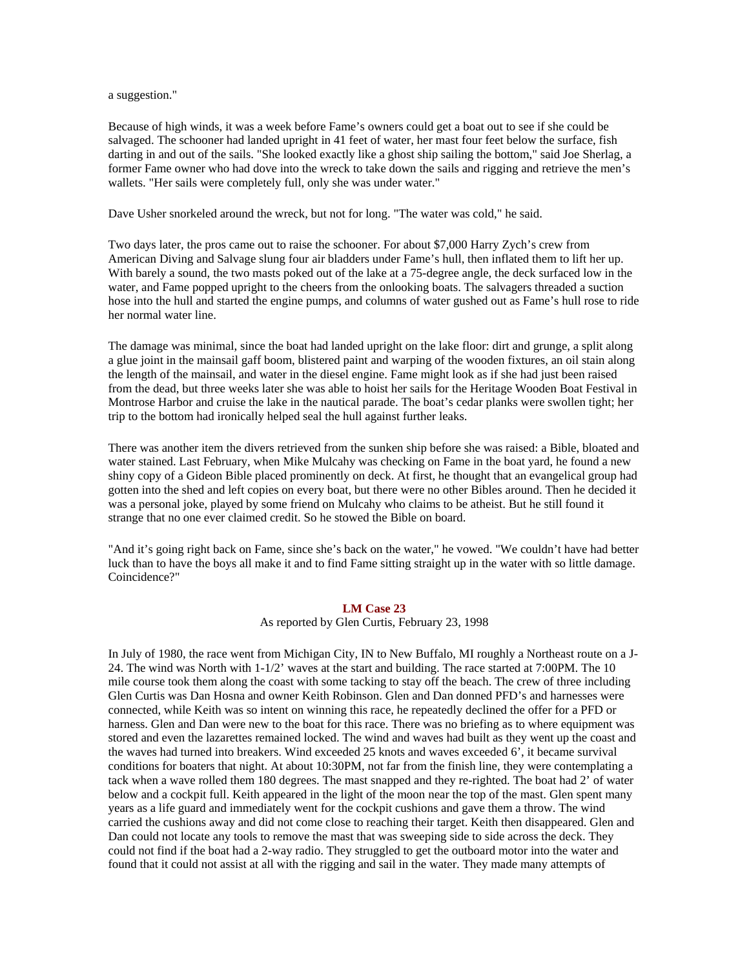a suggestion."

Because of high winds, it was a week before Fame's owners could get a boat out to see if she could be salvaged. The schooner had landed upright in 41 feet of water, her mast four feet below the surface, fish darting in and out of the sails. "She looked exactly like a ghost ship sailing the bottom," said Joe Sherlag, a former Fame owner who had dove into the wreck to take down the sails and rigging and retrieve the men's wallets. "Her sails were completely full, only she was under water."

Dave Usher snorkeled around the wreck, but not for long. "The water was cold," he said.

Two days later, the pros came out to raise the schooner. For about \$7,000 Harry Zych's crew from American Diving and Salvage slung four air bladders under Fame's hull, then inflated them to lift her up. With barely a sound, the two masts poked out of the lake at a 75-degree angle, the deck surfaced low in the water, and Fame popped upright to the cheers from the onlooking boats. The salvagers threaded a suction hose into the hull and started the engine pumps, and columns of water gushed out as Fame's hull rose to ride her normal water line.

The damage was minimal, since the boat had landed upright on the lake floor: dirt and grunge, a split along a glue joint in the mainsail gaff boom, blistered paint and warping of the wooden fixtures, an oil stain along the length of the mainsail, and water in the diesel engine. Fame might look as if she had just been raised from the dead, but three weeks later she was able to hoist her sails for the Heritage Wooden Boat Festival in Montrose Harbor and cruise the lake in the nautical parade. The boat's cedar planks were swollen tight; her trip to the bottom had ironically helped seal the hull against further leaks.

There was another item the divers retrieved from the sunken ship before she was raised: a Bible, bloated and water stained. Last February, when Mike Mulcahy was checking on Fame in the boat yard, he found a new shiny copy of a Gideon Bible placed prominently on deck. At first, he thought that an evangelical group had gotten into the shed and left copies on every boat, but there were no other Bibles around. Then he decided it was a personal joke, played by some friend on Mulcahy who claims to be atheist. But he still found it strange that no one ever claimed credit. So he stowed the Bible on board.

"And it's going right back on Fame, since she's back on the water," he vowed. "We couldn't have had better luck than to have the boys all make it and to find Fame sitting straight up in the water with so little damage. Coincidence?"

# **LM Case 23**

As reported by Glen Curtis, February 23, 1998

In July of 1980, the race went from Michigan City, IN to New Buffalo, MI roughly a Northeast route on a J-24. The wind was North with 1-1/2' waves at the start and building. The race started at 7:00PM. The 10 mile course took them along the coast with some tacking to stay off the beach. The crew of three including Glen Curtis was Dan Hosna and owner Keith Robinson. Glen and Dan donned PFD's and harnesses were connected, while Keith was so intent on winning this race, he repeatedly declined the offer for a PFD or harness. Glen and Dan were new to the boat for this race. There was no briefing as to where equipment was stored and even the lazarettes remained locked. The wind and waves had built as they went up the coast and the waves had turned into breakers. Wind exceeded 25 knots and waves exceeded 6', it became survival conditions for boaters that night. At about 10:30PM, not far from the finish line, they were contemplating a tack when a wave rolled them 180 degrees. The mast snapped and they re-righted. The boat had 2' of water below and a cockpit full. Keith appeared in the light of the moon near the top of the mast. Glen spent many years as a life guard and immediately went for the cockpit cushions and gave them a throw. The wind carried the cushions away and did not come close to reaching their target. Keith then disappeared. Glen and Dan could not locate any tools to remove the mast that was sweeping side to side across the deck. They could not find if the boat had a 2-way radio. They struggled to get the outboard motor into the water and found that it could not assist at all with the rigging and sail in the water. They made many attempts of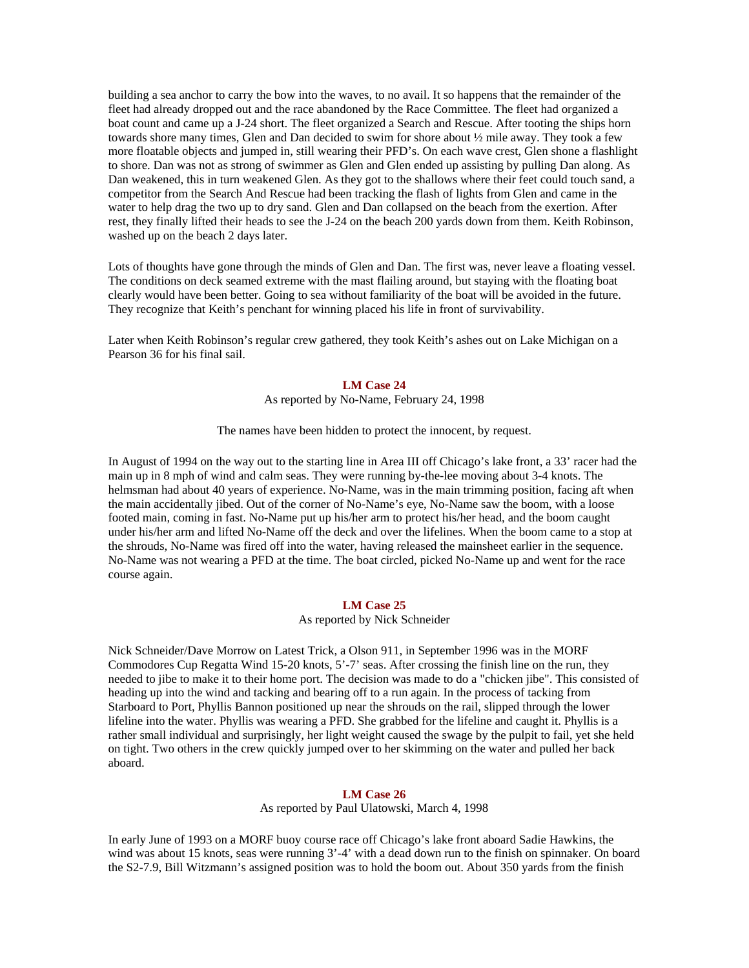building a sea anchor to carry the bow into the waves, to no avail. It so happens that the remainder of the fleet had already dropped out and the race abandoned by the Race Committee. The fleet had organized a boat count and came up a J-24 short. The fleet organized a Search and Rescue. After tooting the ships horn towards shore many times, Glen and Dan decided to swim for shore about ½ mile away. They took a few more floatable objects and jumped in, still wearing their PFD's. On each wave crest, Glen shone a flashlight to shore. Dan was not as strong of swimmer as Glen and Glen ended up assisting by pulling Dan along. As Dan weakened, this in turn weakened Glen. As they got to the shallows where their feet could touch sand, a competitor from the Search And Rescue had been tracking the flash of lights from Glen and came in the water to help drag the two up to dry sand. Glen and Dan collapsed on the beach from the exertion. After rest, they finally lifted their heads to see the J-24 on the beach 200 yards down from them. Keith Robinson, washed up on the beach 2 days later.

Lots of thoughts have gone through the minds of Glen and Dan. The first was, never leave a floating vessel. The conditions on deck seamed extreme with the mast flailing around, but staying with the floating boat clearly would have been better. Going to sea without familiarity of the boat will be avoided in the future. They recognize that Keith's penchant for winning placed his life in front of survivability.

Later when Keith Robinson's regular crew gathered, they took Keith's ashes out on Lake Michigan on a Pearson 36 for his final sail.

#### **LM Case 24**

As reported by No-Name, February 24, 1998

The names have been hidden to protect the innocent, by request.

In August of 1994 on the way out to the starting line in Area III off Chicago's lake front, a 33' racer had the main up in 8 mph of wind and calm seas. They were running by-the-lee moving about 3-4 knots. The helmsman had about 40 years of experience. No-Name, was in the main trimming position, facing aft when the main accidentally jibed. Out of the corner of No-Name's eye, No-Name saw the boom, with a loose footed main, coming in fast. No-Name put up his/her arm to protect his/her head, and the boom caught under his/her arm and lifted No-Name off the deck and over the lifelines. When the boom came to a stop at the shrouds, No-Name was fired off into the water, having released the mainsheet earlier in the sequence. No-Name was not wearing a PFD at the time. The boat circled, picked No-Name up and went for the race course again.

## **LM Case 25**

### As reported by Nick Schneider

Nick Schneider/Dave Morrow on Latest Trick, a Olson 911, in September 1996 was in the MORF Commodores Cup Regatta Wind 15-20 knots, 5'-7' seas. After crossing the finish line on the run, they needed to jibe to make it to their home port. The decision was made to do a "chicken jibe". This consisted of heading up into the wind and tacking and bearing off to a run again. In the process of tacking from Starboard to Port, Phyllis Bannon positioned up near the shrouds on the rail, slipped through the lower lifeline into the water. Phyllis was wearing a PFD. She grabbed for the lifeline and caught it. Phyllis is a rather small individual and surprisingly, her light weight caused the swage by the pulpit to fail, yet she held on tight. Two others in the crew quickly jumped over to her skimming on the water and pulled her back aboard.

# **LM Case 26**

As reported by Paul Ulatowski, March 4, 1998

In early June of 1993 on a MORF buoy course race off Chicago's lake front aboard Sadie Hawkins, the wind was about 15 knots, seas were running 3'-4' with a dead down run to the finish on spinnaker. On board the S2-7.9, Bill Witzmann's assigned position was to hold the boom out. About 350 yards from the finish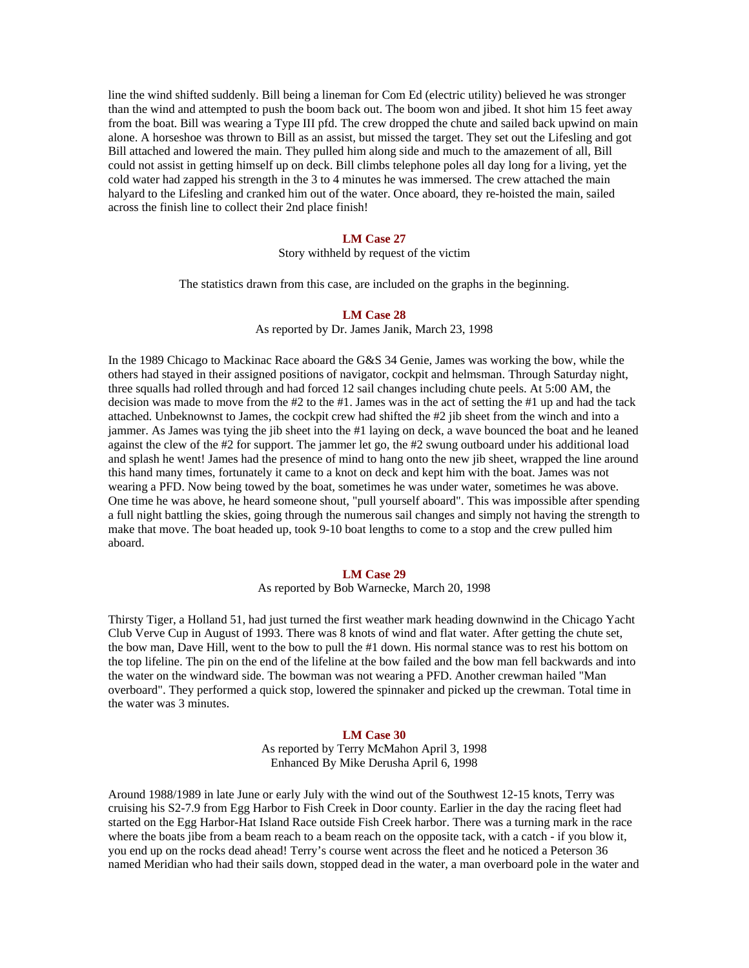line the wind shifted suddenly. Bill being a lineman for Com Ed (electric utility) believed he was stronger than the wind and attempted to push the boom back out. The boom won and jibed. It shot him 15 feet away from the boat. Bill was wearing a Type III pfd. The crew dropped the chute and sailed back upwind on main alone. A horseshoe was thrown to Bill as an assist, but missed the target. They set out the Lifesling and got Bill attached and lowered the main. They pulled him along side and much to the amazement of all, Bill could not assist in getting himself up on deck. Bill climbs telephone poles all day long for a living, yet the cold water had zapped his strength in the 3 to 4 minutes he was immersed. The crew attached the main halyard to the Lifesling and cranked him out of the water. Once aboard, they re-hoisted the main, sailed across the finish line to collect their 2nd place finish!

#### **LM Case 27**

Story withheld by request of the victim

The statistics drawn from this case, are included on the graphs in the beginning.

# **LM Case 28**

As reported by Dr. James Janik, March 23, 1998

In the 1989 Chicago to Mackinac Race aboard the G&S 34 Genie, James was working the bow, while the others had stayed in their assigned positions of navigator, cockpit and helmsman. Through Saturday night, three squalls had rolled through and had forced 12 sail changes including chute peels. At 5:00 AM, the decision was made to move from the #2 to the #1. James was in the act of setting the #1 up and had the tack attached. Unbeknownst to James, the cockpit crew had shifted the #2 jib sheet from the winch and into a jammer. As James was tying the jib sheet into the #1 laying on deck, a wave bounced the boat and he leaned against the clew of the #2 for support. The jammer let go, the #2 swung outboard under his additional load and splash he went! James had the presence of mind to hang onto the new jib sheet, wrapped the line around this hand many times, fortunately it came to a knot on deck and kept him with the boat. James was not wearing a PFD. Now being towed by the boat, sometimes he was under water, sometimes he was above. One time he was above, he heard someone shout, "pull yourself aboard". This was impossible after spending a full night battling the skies, going through the numerous sail changes and simply not having the strength to make that move. The boat headed up, took 9-10 boat lengths to come to a stop and the crew pulled him aboard.

### **LM Case 29**

As reported by Bob Warnecke, March 20, 1998

Thirsty Tiger, a Holland 51, had just turned the first weather mark heading downwind in the Chicago Yacht Club Verve Cup in August of 1993. There was 8 knots of wind and flat water. After getting the chute set, the bow man, Dave Hill, went to the bow to pull the #1 down. His normal stance was to rest his bottom on the top lifeline. The pin on the end of the lifeline at the bow failed and the bow man fell backwards and into the water on the windward side. The bowman was not wearing a PFD. Another crewman hailed "Man overboard". They performed a quick stop, lowered the spinnaker and picked up the crewman. Total time in the water was 3 minutes.

### **LM Case 30**

As reported by Terry McMahon April 3, 1998 Enhanced By Mike Derusha April 6, 1998

Around 1988/1989 in late June or early July with the wind out of the Southwest 12-15 knots, Terry was cruising his S2-7.9 from Egg Harbor to Fish Creek in Door county. Earlier in the day the racing fleet had started on the Egg Harbor-Hat Island Race outside Fish Creek harbor. There was a turning mark in the race where the boats jibe from a beam reach to a beam reach on the opposite tack, with a catch - if you blow it, you end up on the rocks dead ahead! Terry's course went across the fleet and he noticed a Peterson 36 named Meridian who had their sails down, stopped dead in the water, a man overboard pole in the water and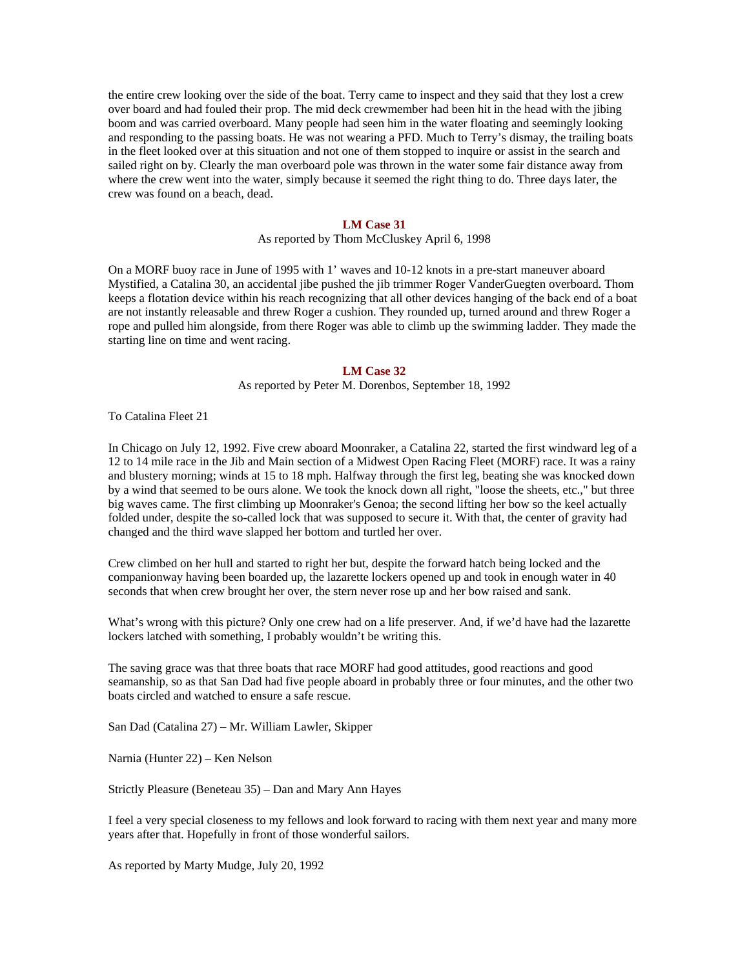the entire crew looking over the side of the boat. Terry came to inspect and they said that they lost a crew over board and had fouled their prop. The mid deck crewmember had been hit in the head with the jibing boom and was carried overboard. Many people had seen him in the water floating and seemingly looking and responding to the passing boats. He was not wearing a PFD. Much to Terry's dismay, the trailing boats in the fleet looked over at this situation and not one of them stopped to inquire or assist in the search and sailed right on by. Clearly the man overboard pole was thrown in the water some fair distance away from where the crew went into the water, simply because it seemed the right thing to do. Three days later, the crew was found on a beach, dead.

#### **LM Case 31**

As reported by Thom McCluskey April 6, 1998

On a MORF buoy race in June of 1995 with 1' waves and 10-12 knots in a pre-start maneuver aboard Mystified, a Catalina 30, an accidental jibe pushed the jib trimmer Roger VanderGuegten overboard. Thom keeps a flotation device within his reach recognizing that all other devices hanging of the back end of a boat are not instantly releasable and threw Roger a cushion. They rounded up, turned around and threw Roger a rope and pulled him alongside, from there Roger was able to climb up the swimming ladder. They made the starting line on time and went racing.

#### **LM Case 32**

As reported by Peter M. Dorenbos, September 18, 1992

To Catalina Fleet 21

In Chicago on July 12, 1992. Five crew aboard Moonraker, a Catalina 22, started the first windward leg of a 12 to 14 mile race in the Jib and Main section of a Midwest Open Racing Fleet (MORF) race. It was a rainy and blustery morning; winds at 15 to 18 mph. Halfway through the first leg, beating she was knocked down by a wind that seemed to be ours alone. We took the knock down all right, "loose the sheets, etc.," but three big waves came. The first climbing up Moonraker's Genoa; the second lifting her bow so the keel actually folded under, despite the so-called lock that was supposed to secure it. With that, the center of gravity had changed and the third wave slapped her bottom and turtled her over.

Crew climbed on her hull and started to right her but, despite the forward hatch being locked and the companionway having been boarded up, the lazarette lockers opened up and took in enough water in 40 seconds that when crew brought her over, the stern never rose up and her bow raised and sank.

What's wrong with this picture? Only one crew had on a life preserver. And, if we'd have had the lazarette lockers latched with something, I probably wouldn't be writing this.

The saving grace was that three boats that race MORF had good attitudes, good reactions and good seamanship, so as that San Dad had five people aboard in probably three or four minutes, and the other two boats circled and watched to ensure a safe rescue.

San Dad (Catalina 27) – Mr. William Lawler, Skipper

Narnia (Hunter 22) – Ken Nelson

Strictly Pleasure (Beneteau 35) – Dan and Mary Ann Hayes

I feel a very special closeness to my fellows and look forward to racing with them next year and many more years after that. Hopefully in front of those wonderful sailors.

As reported by Marty Mudge, July 20, 1992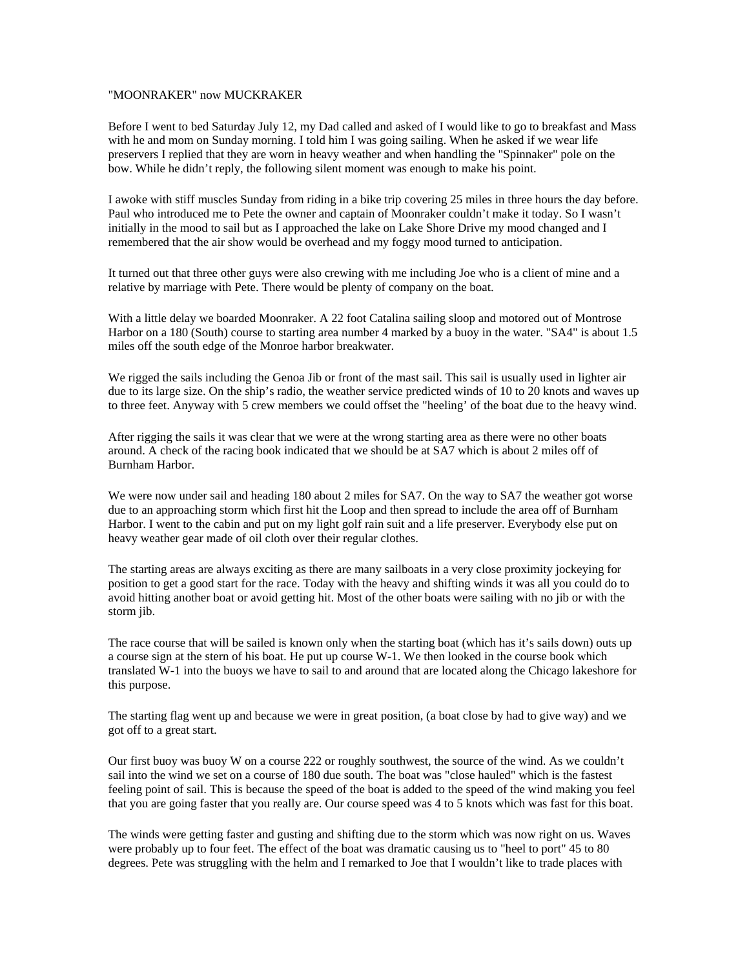# "MOONRAKER" now MUCKRAKER

Before I went to bed Saturday July 12, my Dad called and asked of I would like to go to breakfast and Mass with he and mom on Sunday morning. I told him I was going sailing. When he asked if we wear life preservers I replied that they are worn in heavy weather and when handling the "Spinnaker" pole on the bow. While he didn't reply, the following silent moment was enough to make his point.

I awoke with stiff muscles Sunday from riding in a bike trip covering 25 miles in three hours the day before. Paul who introduced me to Pete the owner and captain of Moonraker couldn't make it today. So I wasn't initially in the mood to sail but as I approached the lake on Lake Shore Drive my mood changed and I remembered that the air show would be overhead and my foggy mood turned to anticipation.

It turned out that three other guys were also crewing with me including Joe who is a client of mine and a relative by marriage with Pete. There would be plenty of company on the boat.

With a little delay we boarded Moonraker. A 22 foot Catalina sailing sloop and motored out of Montrose Harbor on a 180 (South) course to starting area number 4 marked by a buoy in the water. "SA4" is about 1.5 miles off the south edge of the Monroe harbor breakwater.

We rigged the sails including the Genoa Jib or front of the mast sail. This sail is usually used in lighter air due to its large size. On the ship's radio, the weather service predicted winds of 10 to 20 knots and waves up to three feet. Anyway with 5 crew members we could offset the "heeling' of the boat due to the heavy wind.

After rigging the sails it was clear that we were at the wrong starting area as there were no other boats around. A check of the racing book indicated that we should be at SA7 which is about 2 miles off of Burnham Harbor.

We were now under sail and heading 180 about 2 miles for SA7. On the way to SA7 the weather got worse due to an approaching storm which first hit the Loop and then spread to include the area off of Burnham Harbor. I went to the cabin and put on my light golf rain suit and a life preserver. Everybody else put on heavy weather gear made of oil cloth over their regular clothes.

The starting areas are always exciting as there are many sailboats in a very close proximity jockeying for position to get a good start for the race. Today with the heavy and shifting winds it was all you could do to avoid hitting another boat or avoid getting hit. Most of the other boats were sailing with no jib or with the storm jib.

The race course that will be sailed is known only when the starting boat (which has it's sails down) outs up a course sign at the stern of his boat. He put up course W-1. We then looked in the course book which translated W-1 into the buoys we have to sail to and around that are located along the Chicago lakeshore for this purpose.

The starting flag went up and because we were in great position, (a boat close by had to give way) and we got off to a great start.

Our first buoy was buoy W on a course 222 or roughly southwest, the source of the wind. As we couldn't sail into the wind we set on a course of 180 due south. The boat was "close hauled" which is the fastest feeling point of sail. This is because the speed of the boat is added to the speed of the wind making you feel that you are going faster that you really are. Our course speed was 4 to 5 knots which was fast for this boat.

The winds were getting faster and gusting and shifting due to the storm which was now right on us. Waves were probably up to four feet. The effect of the boat was dramatic causing us to "heel to port" 45 to 80 degrees. Pete was struggling with the helm and I remarked to Joe that I wouldn't like to trade places with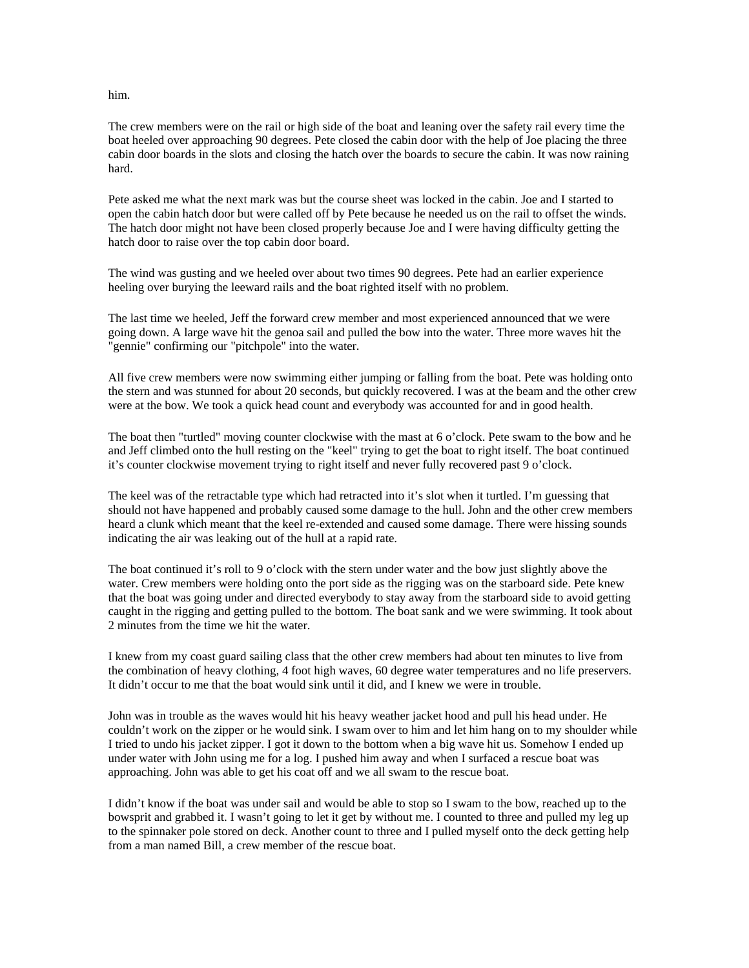him.

The crew members were on the rail or high side of the boat and leaning over the safety rail every time the boat heeled over approaching 90 degrees. Pete closed the cabin door with the help of Joe placing the three cabin door boards in the slots and closing the hatch over the boards to secure the cabin. It was now raining hard.

Pete asked me what the next mark was but the course sheet was locked in the cabin. Joe and I started to open the cabin hatch door but were called off by Pete because he needed us on the rail to offset the winds. The hatch door might not have been closed properly because Joe and I were having difficulty getting the hatch door to raise over the top cabin door board.

The wind was gusting and we heeled over about two times 90 degrees. Pete had an earlier experience heeling over burying the leeward rails and the boat righted itself with no problem.

The last time we heeled, Jeff the forward crew member and most experienced announced that we were going down. A large wave hit the genoa sail and pulled the bow into the water. Three more waves hit the "gennie" confirming our "pitchpole" into the water.

All five crew members were now swimming either jumping or falling from the boat. Pete was holding onto the stern and was stunned for about 20 seconds, but quickly recovered. I was at the beam and the other crew were at the bow. We took a quick head count and everybody was accounted for and in good health.

The boat then "turtled" moving counter clockwise with the mast at 6 o'clock. Pete swam to the bow and he and Jeff climbed onto the hull resting on the "keel" trying to get the boat to right itself. The boat continued it's counter clockwise movement trying to right itself and never fully recovered past 9 o'clock.

The keel was of the retractable type which had retracted into it's slot when it turtled. I'm guessing that should not have happened and probably caused some damage to the hull. John and the other crew members heard a clunk which meant that the keel re-extended and caused some damage. There were hissing sounds indicating the air was leaking out of the hull at a rapid rate.

The boat continued it's roll to 9 o'clock with the stern under water and the bow just slightly above the water. Crew members were holding onto the port side as the rigging was on the starboard side. Pete knew that the boat was going under and directed everybody to stay away from the starboard side to avoid getting caught in the rigging and getting pulled to the bottom. The boat sank and we were swimming. It took about 2 minutes from the time we hit the water.

I knew from my coast guard sailing class that the other crew members had about ten minutes to live from the combination of heavy clothing, 4 foot high waves, 60 degree water temperatures and no life preservers. It didn't occur to me that the boat would sink until it did, and I knew we were in trouble.

John was in trouble as the waves would hit his heavy weather jacket hood and pull his head under. He couldn't work on the zipper or he would sink. I swam over to him and let him hang on to my shoulder while I tried to undo his jacket zipper. I got it down to the bottom when a big wave hit us. Somehow I ended up under water with John using me for a log. I pushed him away and when I surfaced a rescue boat was approaching. John was able to get his coat off and we all swam to the rescue boat.

I didn't know if the boat was under sail and would be able to stop so I swam to the bow, reached up to the bowsprit and grabbed it. I wasn't going to let it get by without me. I counted to three and pulled my leg up to the spinnaker pole stored on deck. Another count to three and I pulled myself onto the deck getting help from a man named Bill, a crew member of the rescue boat.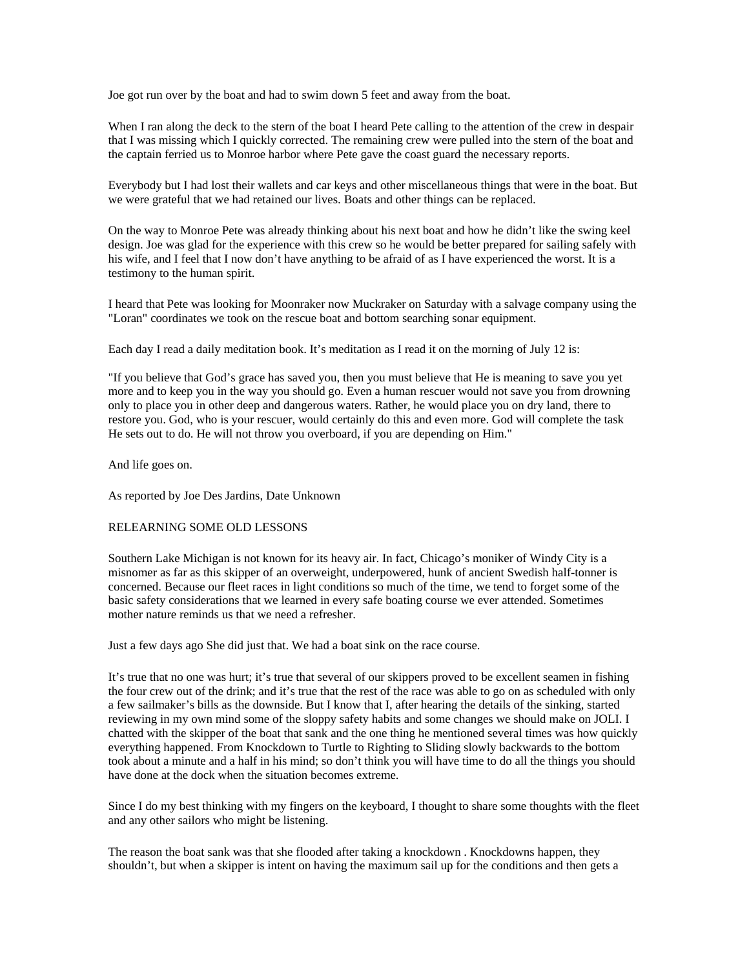Joe got run over by the boat and had to swim down 5 feet and away from the boat.

When I ran along the deck to the stern of the boat I heard Pete calling to the attention of the crew in despair that I was missing which I quickly corrected. The remaining crew were pulled into the stern of the boat and the captain ferried us to Monroe harbor where Pete gave the coast guard the necessary reports.

Everybody but I had lost their wallets and car keys and other miscellaneous things that were in the boat. But we were grateful that we had retained our lives. Boats and other things can be replaced.

On the way to Monroe Pete was already thinking about his next boat and how he didn't like the swing keel design. Joe was glad for the experience with this crew so he would be better prepared for sailing safely with his wife, and I feel that I now don't have anything to be afraid of as I have experienced the worst. It is a testimony to the human spirit.

I heard that Pete was looking for Moonraker now Muckraker on Saturday with a salvage company using the "Loran" coordinates we took on the rescue boat and bottom searching sonar equipment.

Each day I read a daily meditation book. It's meditation as I read it on the morning of July 12 is:

"If you believe that God's grace has saved you, then you must believe that He is meaning to save you yet more and to keep you in the way you should go. Even a human rescuer would not save you from drowning only to place you in other deep and dangerous waters. Rather, he would place you on dry land, there to restore you. God, who is your rescuer, would certainly do this and even more. God will complete the task He sets out to do. He will not throw you overboard, if you are depending on Him."

And life goes on.

As reported by Joe Des Jardins, Date Unknown

# RELEARNING SOME OLD LESSONS

Southern Lake Michigan is not known for its heavy air. In fact, Chicago's moniker of Windy City is a misnomer as far as this skipper of an overweight, underpowered, hunk of ancient Swedish half-tonner is concerned. Because our fleet races in light conditions so much of the time, we tend to forget some of the basic safety considerations that we learned in every safe boating course we ever attended. Sometimes mother nature reminds us that we need a refresher.

Just a few days ago She did just that. We had a boat sink on the race course.

It's true that no one was hurt; it's true that several of our skippers proved to be excellent seamen in fishing the four crew out of the drink; and it's true that the rest of the race was able to go on as scheduled with only a few sailmaker's bills as the downside. But I know that I, after hearing the details of the sinking, started reviewing in my own mind some of the sloppy safety habits and some changes we should make on JOLI. I chatted with the skipper of the boat that sank and the one thing he mentioned several times was how quickly everything happened. From Knockdown to Turtle to Righting to Sliding slowly backwards to the bottom took about a minute and a half in his mind; so don't think you will have time to do all the things you should have done at the dock when the situation becomes extreme.

Since I do my best thinking with my fingers on the keyboard, I thought to share some thoughts with the fleet and any other sailors who might be listening.

The reason the boat sank was that she flooded after taking a knockdown . Knockdowns happen, they shouldn't, but when a skipper is intent on having the maximum sail up for the conditions and then gets a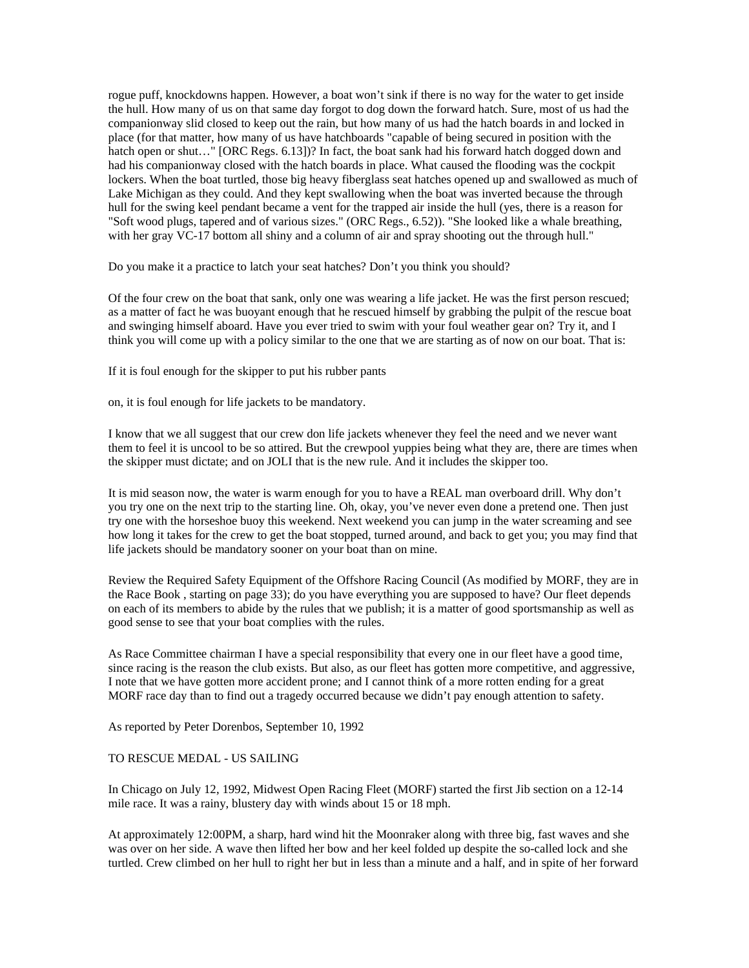rogue puff, knockdowns happen. However, a boat won't sink if there is no way for the water to get inside the hull. How many of us on that same day forgot to dog down the forward hatch. Sure, most of us had the companionway slid closed to keep out the rain, but how many of us had the hatch boards in and locked in place (for that matter, how many of us have hatchboards "capable of being secured in position with the hatch open or shut..." [ORC Regs. 6.13])? In fact, the boat sank had his forward hatch dogged down and had his companionway closed with the hatch boards in place. What caused the flooding was the cockpit lockers. When the boat turtled, those big heavy fiberglass seat hatches opened up and swallowed as much of Lake Michigan as they could. And they kept swallowing when the boat was inverted because the through hull for the swing keel pendant became a vent for the trapped air inside the hull (yes, there is a reason for "Soft wood plugs, tapered and of various sizes." (ORC Regs., 6.52)). "She looked like a whale breathing, with her gray VC-17 bottom all shiny and a column of air and spray shooting out the through hull."

Do you make it a practice to latch your seat hatches? Don't you think you should?

Of the four crew on the boat that sank, only one was wearing a life jacket. He was the first person rescued; as a matter of fact he was buoyant enough that he rescued himself by grabbing the pulpit of the rescue boat and swinging himself aboard. Have you ever tried to swim with your foul weather gear on? Try it, and I think you will come up with a policy similar to the one that we are starting as of now on our boat. That is:

If it is foul enough for the skipper to put his rubber pants

on, it is foul enough for life jackets to be mandatory.

I know that we all suggest that our crew don life jackets whenever they feel the need and we never want them to feel it is uncool to be so attired. But the crewpool yuppies being what they are, there are times when the skipper must dictate; and on JOLI that is the new rule. And it includes the skipper too.

It is mid season now, the water is warm enough for you to have a REAL man overboard drill. Why don't you try one on the next trip to the starting line. Oh, okay, you've never even done a pretend one. Then just try one with the horseshoe buoy this weekend. Next weekend you can jump in the water screaming and see how long it takes for the crew to get the boat stopped, turned around, and back to get you; you may find that life jackets should be mandatory sooner on your boat than on mine.

Review the Required Safety Equipment of the Offshore Racing Council (As modified by MORF, they are in the Race Book , starting on page 33); do you have everything you are supposed to have? Our fleet depends on each of its members to abide by the rules that we publish; it is a matter of good sportsmanship as well as good sense to see that your boat complies with the rules.

As Race Committee chairman I have a special responsibility that every one in our fleet have a good time, since racing is the reason the club exists. But also, as our fleet has gotten more competitive, and aggressive, I note that we have gotten more accident prone; and I cannot think of a more rotten ending for a great MORF race day than to find out a tragedy occurred because we didn't pay enough attention to safety.

As reported by Peter Dorenbos, September 10, 1992

### TO RESCUE MEDAL - US SAILING

In Chicago on July 12, 1992, Midwest Open Racing Fleet (MORF) started the first Jib section on a 12-14 mile race. It was a rainy, blustery day with winds about 15 or 18 mph.

At approximately 12:00PM, a sharp, hard wind hit the Moonraker along with three big, fast waves and she was over on her side. A wave then lifted her bow and her keel folded up despite the so-called lock and she turtled. Crew climbed on her hull to right her but in less than a minute and a half, and in spite of her forward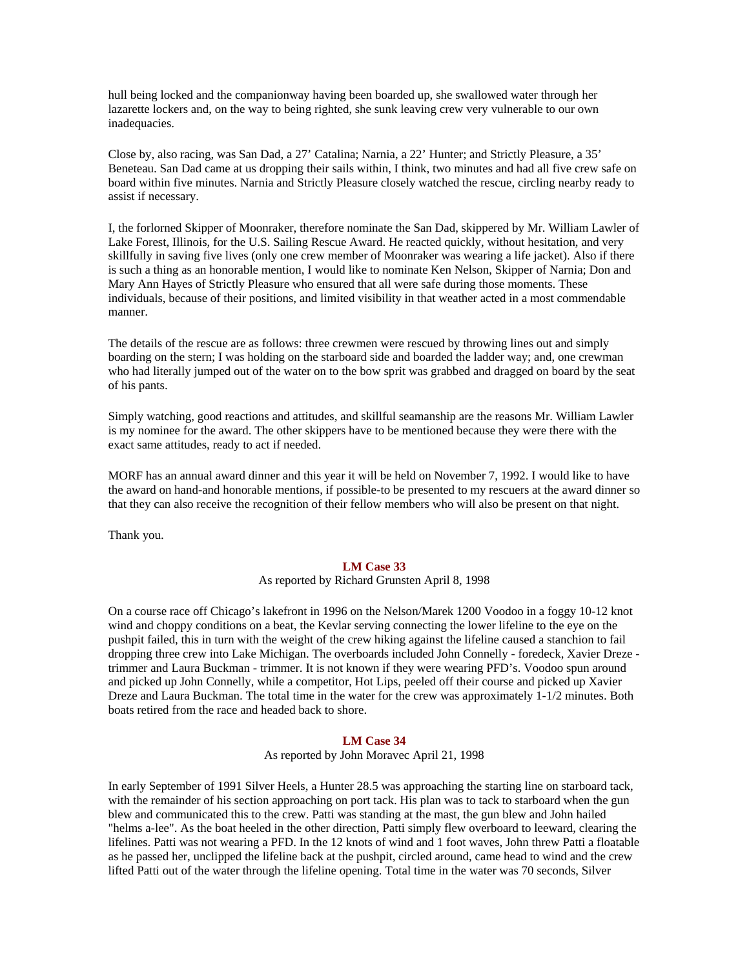hull being locked and the companionway having been boarded up, she swallowed water through her lazarette lockers and, on the way to being righted, she sunk leaving crew very vulnerable to our own inadequacies.

Close by, also racing, was San Dad, a 27' Catalina; Narnia, a 22' Hunter; and Strictly Pleasure, a 35' Beneteau. San Dad came at us dropping their sails within, I think, two minutes and had all five crew safe on board within five minutes. Narnia and Strictly Pleasure closely watched the rescue, circling nearby ready to assist if necessary.

I, the forlorned Skipper of Moonraker, therefore nominate the San Dad, skippered by Mr. William Lawler of Lake Forest, Illinois, for the U.S. Sailing Rescue Award. He reacted quickly, without hesitation, and very skillfully in saving five lives (only one crew member of Moonraker was wearing a life jacket). Also if there is such a thing as an honorable mention, I would like to nominate Ken Nelson, Skipper of Narnia; Don and Mary Ann Hayes of Strictly Pleasure who ensured that all were safe during those moments. These individuals, because of their positions, and limited visibility in that weather acted in a most commendable manner.

The details of the rescue are as follows: three crewmen were rescued by throwing lines out and simply boarding on the stern; I was holding on the starboard side and boarded the ladder way; and, one crewman who had literally jumped out of the water on to the bow sprit was grabbed and dragged on board by the seat of his pants.

Simply watching, good reactions and attitudes, and skillful seamanship are the reasons Mr. William Lawler is my nominee for the award. The other skippers have to be mentioned because they were there with the exact same attitudes, ready to act if needed.

MORF has an annual award dinner and this year it will be held on November 7, 1992. I would like to have the award on hand-and honorable mentions, if possible-to be presented to my rescuers at the award dinner so that they can also receive the recognition of their fellow members who will also be present on that night.

Thank you.

# **LM Case 33**

As reported by Richard Grunsten April 8, 1998

On a course race off Chicago's lakefront in 1996 on the Nelson/Marek 1200 Voodoo in a foggy 10-12 knot wind and choppy conditions on a beat, the Kevlar serving connecting the lower lifeline to the eye on the pushpit failed, this in turn with the weight of the crew hiking against the lifeline caused a stanchion to fail dropping three crew into Lake Michigan. The overboards included John Connelly - foredeck, Xavier Dreze trimmer and Laura Buckman - trimmer. It is not known if they were wearing PFD's. Voodoo spun around and picked up John Connelly, while a competitor, Hot Lips, peeled off their course and picked up Xavier Dreze and Laura Buckman. The total time in the water for the crew was approximately 1-1/2 minutes. Both boats retired from the race and headed back to shore.

# **LM Case 34**

As reported by John Moravec April 21, 1998

In early September of 1991 Silver Heels, a Hunter 28.5 was approaching the starting line on starboard tack, with the remainder of his section approaching on port tack. His plan was to tack to starboard when the gun blew and communicated this to the crew. Patti was standing at the mast, the gun blew and John hailed "helms a-lee". As the boat heeled in the other direction, Patti simply flew overboard to leeward, clearing the lifelines. Patti was not wearing a PFD. In the 12 knots of wind and 1 foot waves, John threw Patti a floatable as he passed her, unclipped the lifeline back at the pushpit, circled around, came head to wind and the crew lifted Patti out of the water through the lifeline opening. Total time in the water was 70 seconds, Silver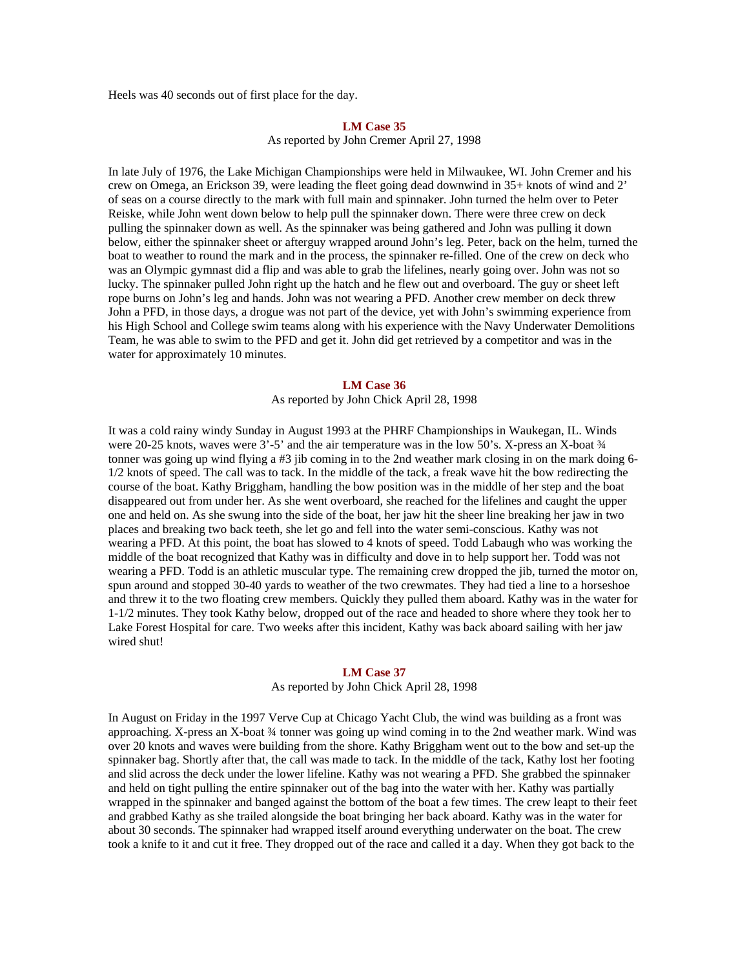Heels was 40 seconds out of first place for the day.

#### **LM Case 35**

As reported by John Cremer April 27, 1998

In late July of 1976, the Lake Michigan Championships were held in Milwaukee, WI. John Cremer and his crew on Omega, an Erickson 39, were leading the fleet going dead downwind in 35+ knots of wind and 2' of seas on a course directly to the mark with full main and spinnaker. John turned the helm over to Peter Reiske, while John went down below to help pull the spinnaker down. There were three crew on deck pulling the spinnaker down as well. As the spinnaker was being gathered and John was pulling it down below, either the spinnaker sheet or afterguy wrapped around John's leg. Peter, back on the helm, turned the boat to weather to round the mark and in the process, the spinnaker re-filled. One of the crew on deck who was an Olympic gymnast did a flip and was able to grab the lifelines, nearly going over. John was not so lucky. The spinnaker pulled John right up the hatch and he flew out and overboard. The guy or sheet left rope burns on John's leg and hands. John was not wearing a PFD. Another crew member on deck threw John a PFD, in those days, a drogue was not part of the device, yet with John's swimming experience from his High School and College swim teams along with his experience with the Navy Underwater Demolitions Team, he was able to swim to the PFD and get it. John did get retrieved by a competitor and was in the water for approximately 10 minutes.

#### **LM Case 36**

As reported by John Chick April 28, 1998

It was a cold rainy windy Sunday in August 1993 at the PHRF Championships in Waukegan, IL. Winds were 20-25 knots, waves were 3'-5' and the air temperature was in the low 50's. X-press an X-boat  $\frac{3}{4}$ tonner was going up wind flying a #3 jib coming in to the 2nd weather mark closing in on the mark doing 6- 1/2 knots of speed. The call was to tack. In the middle of the tack, a freak wave hit the bow redirecting the course of the boat. Kathy Briggham, handling the bow position was in the middle of her step and the boat disappeared out from under her. As she went overboard, she reached for the lifelines and caught the upper one and held on. As she swung into the side of the boat, her jaw hit the sheer line breaking her jaw in two places and breaking two back teeth, she let go and fell into the water semi-conscious. Kathy was not wearing a PFD. At this point, the boat has slowed to 4 knots of speed. Todd Labaugh who was working the middle of the boat recognized that Kathy was in difficulty and dove in to help support her. Todd was not wearing a PFD. Todd is an athletic muscular type. The remaining crew dropped the jib, turned the motor on, spun around and stopped 30-40 yards to weather of the two crewmates. They had tied a line to a horseshoe and threw it to the two floating crew members. Quickly they pulled them aboard. Kathy was in the water for 1-1/2 minutes. They took Kathy below, dropped out of the race and headed to shore where they took her to Lake Forest Hospital for care. Two weeks after this incident, Kathy was back aboard sailing with her jaw wired shut!

# **LM Case 37**

# As reported by John Chick April 28, 1998

In August on Friday in the 1997 Verve Cup at Chicago Yacht Club, the wind was building as a front was approaching. X-press an X-boat ¾ tonner was going up wind coming in to the 2nd weather mark. Wind was over 20 knots and waves were building from the shore. Kathy Briggham went out to the bow and set-up the spinnaker bag. Shortly after that, the call was made to tack. In the middle of the tack, Kathy lost her footing and slid across the deck under the lower lifeline. Kathy was not wearing a PFD. She grabbed the spinnaker and held on tight pulling the entire spinnaker out of the bag into the water with her. Kathy was partially wrapped in the spinnaker and banged against the bottom of the boat a few times. The crew leapt to their feet and grabbed Kathy as she trailed alongside the boat bringing her back aboard. Kathy was in the water for about 30 seconds. The spinnaker had wrapped itself around everything underwater on the boat. The crew took a knife to it and cut it free. They dropped out of the race and called it a day. When they got back to the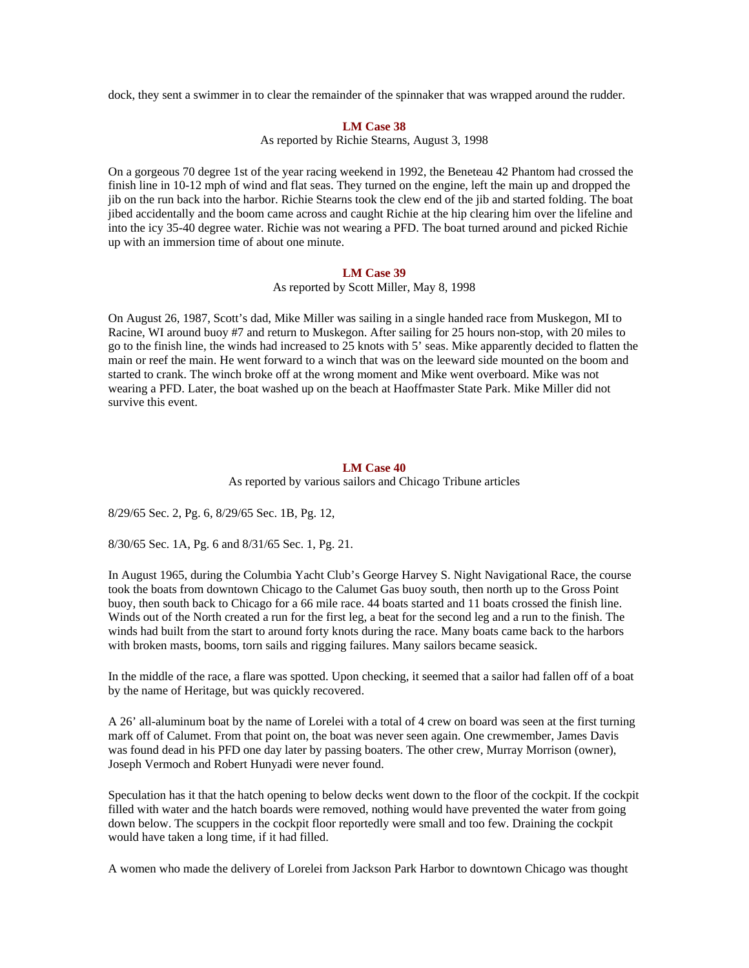dock, they sent a swimmer in to clear the remainder of the spinnaker that was wrapped around the rudder.

### **LM Case 38**

As reported by Richie Stearns, August 3, 1998

On a gorgeous 70 degree 1st of the year racing weekend in 1992, the Beneteau 42 Phantom had crossed the finish line in 10-12 mph of wind and flat seas. They turned on the engine, left the main up and dropped the jib on the run back into the harbor. Richie Stearns took the clew end of the jib and started folding. The boat jibed accidentally and the boom came across and caught Richie at the hip clearing him over the lifeline and into the icy 35-40 degree water. Richie was not wearing a PFD. The boat turned around and picked Richie up with an immersion time of about one minute.

# **LM Case 39**

As reported by Scott Miller, May 8, 1998

On August 26, 1987, Scott's dad, Mike Miller was sailing in a single handed race from Muskegon, MI to Racine, WI around buoy #7 and return to Muskegon. After sailing for 25 hours non-stop, with 20 miles to go to the finish line, the winds had increased to 25 knots with 5' seas. Mike apparently decided to flatten the main or reef the main. He went forward to a winch that was on the leeward side mounted on the boom and started to crank. The winch broke off at the wrong moment and Mike went overboard. Mike was not wearing a PFD. Later, the boat washed up on the beach at Haoffmaster State Park. Mike Miller did not survive this event.

#### **LM Case 40**

As reported by various sailors and Chicago Tribune articles

8/29/65 Sec. 2, Pg. 6, 8/29/65 Sec. 1B, Pg. 12,

8/30/65 Sec. 1A, Pg. 6 and 8/31/65 Sec. 1, Pg. 21.

In August 1965, during the Columbia Yacht Club's George Harvey S. Night Navigational Race, the course took the boats from downtown Chicago to the Calumet Gas buoy south, then north up to the Gross Point buoy, then south back to Chicago for a 66 mile race. 44 boats started and 11 boats crossed the finish line. Winds out of the North created a run for the first leg, a beat for the second leg and a run to the finish. The winds had built from the start to around forty knots during the race. Many boats came back to the harbors with broken masts, booms, torn sails and rigging failures. Many sailors became seasick.

In the middle of the race, a flare was spotted. Upon checking, it seemed that a sailor had fallen off of a boat by the name of Heritage, but was quickly recovered.

A 26' all-aluminum boat by the name of Lorelei with a total of 4 crew on board was seen at the first turning mark off of Calumet. From that point on, the boat was never seen again. One crewmember, James Davis was found dead in his PFD one day later by passing boaters. The other crew, Murray Morrison (owner), Joseph Vermoch and Robert Hunyadi were never found.

Speculation has it that the hatch opening to below decks went down to the floor of the cockpit. If the cockpit filled with water and the hatch boards were removed, nothing would have prevented the water from going down below. The scuppers in the cockpit floor reportedly were small and too few. Draining the cockpit would have taken a long time, if it had filled.

A women who made the delivery of Lorelei from Jackson Park Harbor to downtown Chicago was thought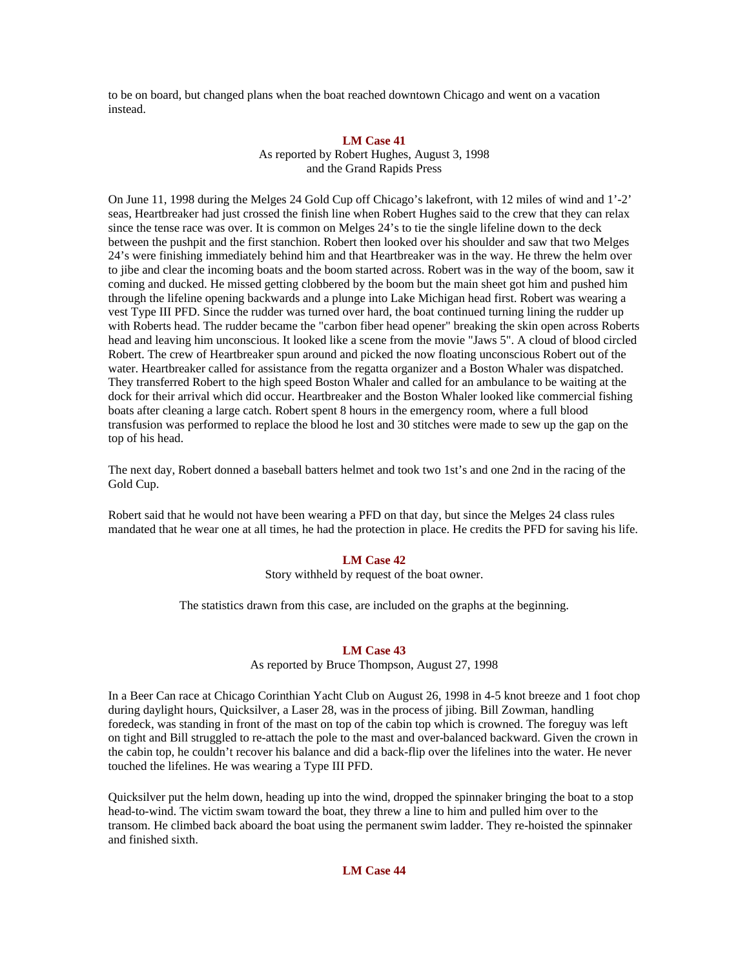to be on board, but changed plans when the boat reached downtown Chicago and went on a vacation instead.

# **LM Case 41**

As reported by Robert Hughes, August 3, 1998 and the Grand Rapids Press

On June 11, 1998 during the Melges 24 Gold Cup off Chicago's lakefront, with 12 miles of wind and 1'-2' seas, Heartbreaker had just crossed the finish line when Robert Hughes said to the crew that they can relax since the tense race was over. It is common on Melges 24's to tie the single lifeline down to the deck between the pushpit and the first stanchion. Robert then looked over his shoulder and saw that two Melges 24's were finishing immediately behind him and that Heartbreaker was in the way. He threw the helm over to jibe and clear the incoming boats and the boom started across. Robert was in the way of the boom, saw it coming and ducked. He missed getting clobbered by the boom but the main sheet got him and pushed him through the lifeline opening backwards and a plunge into Lake Michigan head first. Robert was wearing a vest Type III PFD. Since the rudder was turned over hard, the boat continued turning lining the rudder up with Roberts head. The rudder became the "carbon fiber head opener" breaking the skin open across Roberts head and leaving him unconscious. It looked like a scene from the movie "Jaws 5". A cloud of blood circled Robert. The crew of Heartbreaker spun around and picked the now floating unconscious Robert out of the water. Heartbreaker called for assistance from the regatta organizer and a Boston Whaler was dispatched. They transferred Robert to the high speed Boston Whaler and called for an ambulance to be waiting at the dock for their arrival which did occur. Heartbreaker and the Boston Whaler looked like commercial fishing boats after cleaning a large catch. Robert spent 8 hours in the emergency room, where a full blood transfusion was performed to replace the blood he lost and 30 stitches were made to sew up the gap on the top of his head.

The next day, Robert donned a baseball batters helmet and took two 1st's and one 2nd in the racing of the Gold Cup.

Robert said that he would not have been wearing a PFD on that day, but since the Melges 24 class rules mandated that he wear one at all times, he had the protection in place. He credits the PFD for saving his life.

# **LM Case 42**

Story withheld by request of the boat owner.

The statistics drawn from this case, are included on the graphs at the beginning.

### **LM Case 43**

As reported by Bruce Thompson, August 27, 1998

In a Beer Can race at Chicago Corinthian Yacht Club on August 26, 1998 in 4-5 knot breeze and 1 foot chop during daylight hours, Quicksilver, a Laser 28, was in the process of jibing. Bill Zowman, handling foredeck, was standing in front of the mast on top of the cabin top which is crowned. The foreguy was left on tight and Bill struggled to re-attach the pole to the mast and over-balanced backward. Given the crown in the cabin top, he couldn't recover his balance and did a back-flip over the lifelines into the water. He never touched the lifelines. He was wearing a Type III PFD.

Quicksilver put the helm down, heading up into the wind, dropped the spinnaker bringing the boat to a stop head-to-wind. The victim swam toward the boat, they threw a line to him and pulled him over to the transom. He climbed back aboard the boat using the permanent swim ladder. They re-hoisted the spinnaker and finished sixth.

# **LM Case 44**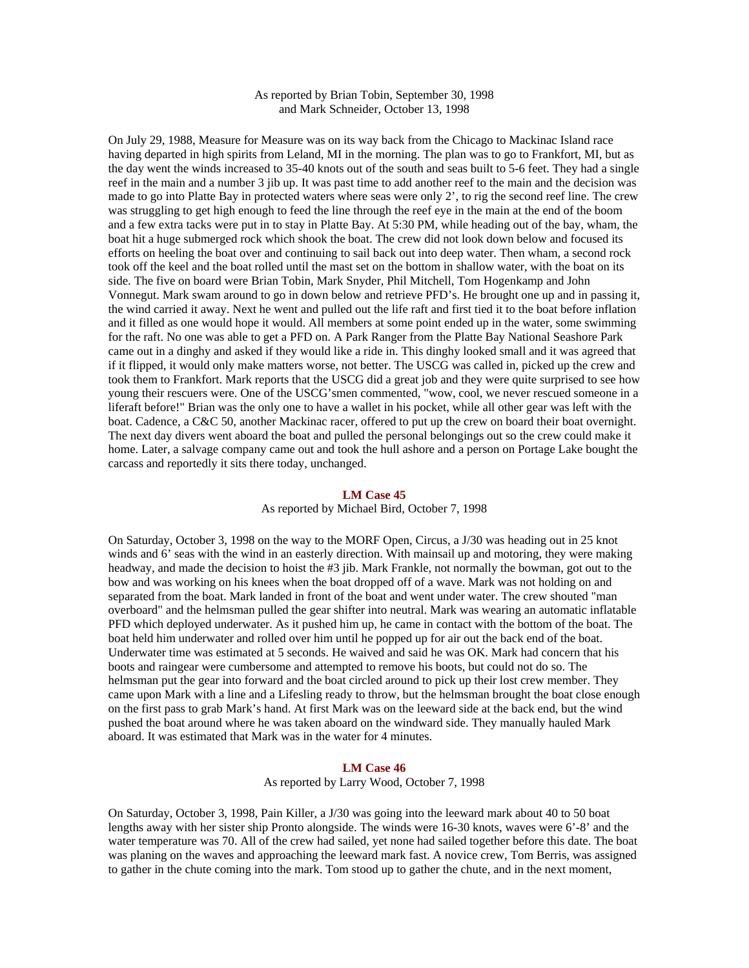# As reported by Brian Tobin, September 30, 1998 and Mark Schneider, October 13, 1998

On July 29, 1988, Measure for Measure was on its way back from the Chicago to Mackinac Island race having departed in high spirits from Leland, MI in the morning. The plan was to go to Frankfort, MI, but as the day went the winds increased to 35-40 knots out of the south and seas built to 5-6 feet. They had a single reef in the main and a number 3 jib up. It was past time to add another reef to the main and the decision was made to go into Platte Bay in protected waters where seas were only 2', to rig the second reef line. The crew was struggling to get high enough to feed the line through the reef eye in the main at the end of the boom and a few extra tacks were put in to stay in Platte Bay. At 5:30 PM, while heading out of the bay, wham, the boat hit a huge submerged rock which shook the boat. The crew did not look down below and focused its efforts on heeling the boat over and continuing to sail back out into deep water. Then wham, a second rock took off the keel and the boat rolled until the mast set on the bottom in shallow water, with the boat on its side. The five on board were Brian Tobin, Mark Snyder, Phil Mitchell, Tom Hogenkamp and John Vonnegut. Mark swam around to go in down below and retrieve PFD's. He brought one up and in passing it, the wind carried it away. Next he went and pulled out the life raft and first tied it to the boat before inflation and it filled as one would hope it would. All members at some point ended up in the water, some swimming for the raft. No one was able to get a PFD on. A Park Ranger from the Platte Bay National Seashore Park came out in a dinghy and asked if they would like a ride in. This dinghy looked small and it was agreed that if it flipped, it would only make matters worse, not better. The USCG was called in, picked up the crew and took them to Frankfort. Mark reports that the USCG did a great job and they were quite surprised to see how young their rescuers were. One of the USCG'smen commented, "wow, cool, we never rescued someone in a liferaft before!" Brian was the only one to have a wallet in his pocket, while all other gear was left with the boat. Cadence, a C&C 50, another Mackinac racer, offered to put up the crew on board their boat overnight. The next day divers went aboard the boat and pulled the personal belongings out so the crew could make it home. Later, a salvage company came out and took the hull ashore and a person on Portage Lake bought the carcass and reportedly it sits there today, unchanged.

#### **LM Case 45**

### As reported by Michael Bird, October 7, 1998

On Saturday, October 3, 1998 on the way to the MORF Open, Circus, a J/30 was heading out in 25 knot winds and 6' seas with the wind in an easterly direction. With mainsail up and motoring, they were making headway, and made the decision to hoist the #3 jib. Mark Frankle, not normally the bowman, got out to the bow and was working on his knees when the boat dropped off of a wave. Mark was not holding on and separated from the boat. Mark landed in front of the boat and went under water. The crew shouted "man overboard" and the helmsman pulled the gear shifter into neutral. Mark was wearing an automatic inflatable PFD which deployed underwater. As it pushed him up, he came in contact with the bottom of the boat. The boat held him underwater and rolled over him until he popped up for air out the back end of the boat. Underwater time was estimated at 5 seconds. He waived and said he was OK. Mark had concern that his boots and raingear were cumbersome and attempted to remove his boots, but could not do so. The helmsman put the gear into forward and the boat circled around to pick up their lost crew member. They came upon Mark with a line and a Lifesling ready to throw, but the helmsman brought the boat close enough on the first pass to grab Mark's hand. At first Mark was on the leeward side at the back end, but the wind pushed the boat around where he was taken aboard on the windward side. They manually hauled Mark aboard. It was estimated that Mark was in the water for 4 minutes.

### **LM Case 46**

### As reported by Larry Wood, October 7, 1998

On Saturday, October 3, 1998, Pain Killer, a J/30 was going into the leeward mark about 40 to 50 boat lengths away with her sister ship Pronto alongside. The winds were 16-30 knots, waves were 6'-8' and the water temperature was 70. All of the crew had sailed, yet none had sailed together before this date. The boat was planing on the waves and approaching the leeward mark fast. A novice crew, Tom Berris, was assigned to gather in the chute coming into the mark. Tom stood up to gather the chute, and in the next moment,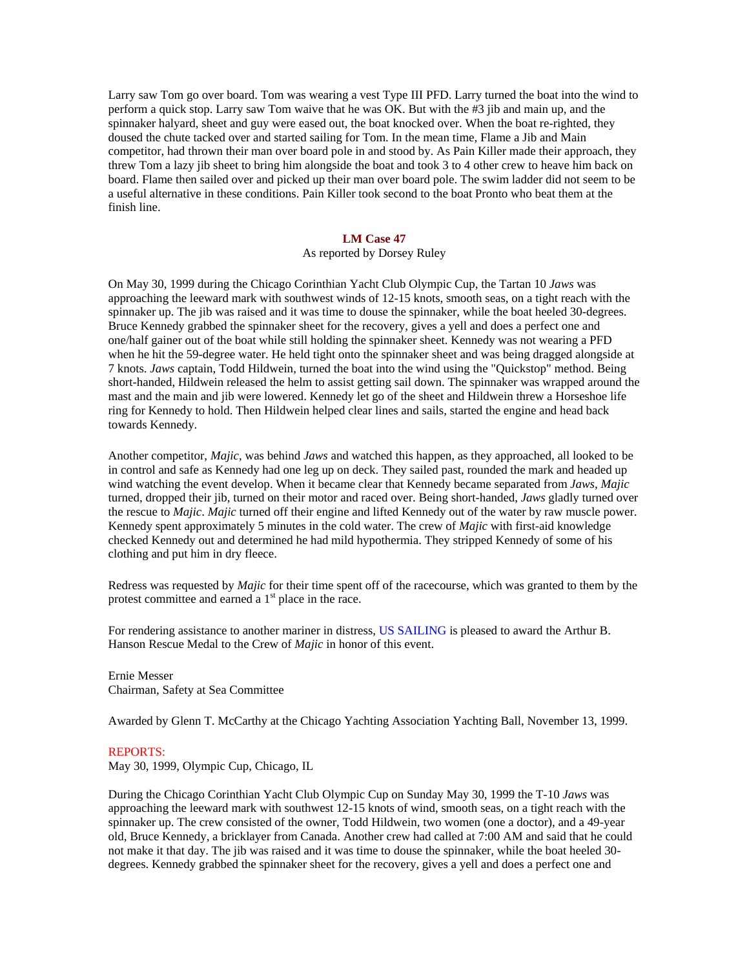Larry saw Tom go over board. Tom was wearing a vest Type III PFD. Larry turned the boat into the wind to perform a quick stop. Larry saw Tom waive that he was OK. But with the #3 jib and main up, and the spinnaker halyard, sheet and guy were eased out, the boat knocked over. When the boat re-righted, they doused the chute tacked over and started sailing for Tom. In the mean time, Flame a Jib and Main competitor, had thrown their man over board pole in and stood by. As Pain Killer made their approach, they threw Tom a lazy jib sheet to bring him alongside the boat and took 3 to 4 other crew to heave him back on board. Flame then sailed over and picked up their man over board pole. The swim ladder did not seem to be a useful alternative in these conditions. Pain Killer took second to the boat Pronto who beat them at the finish line.

# **LM Case 47**

# As reported by Dorsey Ruley

On May 30, 1999 during the Chicago Corinthian Yacht Club Olympic Cup, the Tartan 10 *Jaws* was approaching the leeward mark with southwest winds of 12-15 knots, smooth seas, on a tight reach with the spinnaker up. The jib was raised and it was time to douse the spinnaker, while the boat heeled 30-degrees. Bruce Kennedy grabbed the spinnaker sheet for the recovery, gives a yell and does a perfect one and one/half gainer out of the boat while still holding the spinnaker sheet. Kennedy was not wearing a PFD when he hit the 59-degree water. He held tight onto the spinnaker sheet and was being dragged alongside at 7 knots. *Jaws* captain, Todd Hildwein, turned the boat into the wind using the "Quickstop" method. Being short-handed, Hildwein released the helm to assist getting sail down. The spinnaker was wrapped around the mast and the main and jib were lowered. Kennedy let go of the sheet and Hildwein threw a Horseshoe life ring for Kennedy to hold. Then Hildwein helped clear lines and sails, started the engine and head back towards Kennedy.

Another competitor, *Majic*, was behind *Jaws* and watched this happen, as they approached, all looked to be in control and safe as Kennedy had one leg up on deck. They sailed past, rounded the mark and headed up wind watching the event develop. When it became clear that Kennedy became separated from *Jaws*, *Majic* turned, dropped their jib, turned on their motor and raced over. Being short-handed, *Jaws* gladly turned over the rescue to *Majic*. *Majic* turned off their engine and lifted Kennedy out of the water by raw muscle power. Kennedy spent approximately 5 minutes in the cold water. The crew of *Majic* with first-aid knowledge checked Kennedy out and determined he had mild hypothermia. They stripped Kennedy of some of his clothing and put him in dry fleece.

Redress was requested by *Majic* for their time spent off of the racecourse, which was granted to them by the protest committee and earned a 1<sup>st</sup> place in the race.

For rendering assistance to another mariner in distress, US SAILING is pleased to award the Arthur B. Hanson Rescue Medal to the Crew of *Majic* in honor of this event.

Ernie Messer Chairman, Safety at Sea Committee

Awarded by Glenn T. McCarthy at the Chicago Yachting Association Yachting Ball, November 13, 1999.

### REPORTS:

May 30, 1999, Olympic Cup, Chicago, IL

During the Chicago Corinthian Yacht Club Olympic Cup on Sunday May 30, 1999 the T-10 *Jaws* was approaching the leeward mark with southwest 12-15 knots of wind, smooth seas, on a tight reach with the spinnaker up. The crew consisted of the owner, Todd Hildwein, two women (one a doctor), and a 49-year old, Bruce Kennedy, a bricklayer from Canada. Another crew had called at 7:00 AM and said that he could not make it that day. The jib was raised and it was time to douse the spinnaker, while the boat heeled 30 degrees. Kennedy grabbed the spinnaker sheet for the recovery, gives a yell and does a perfect one and